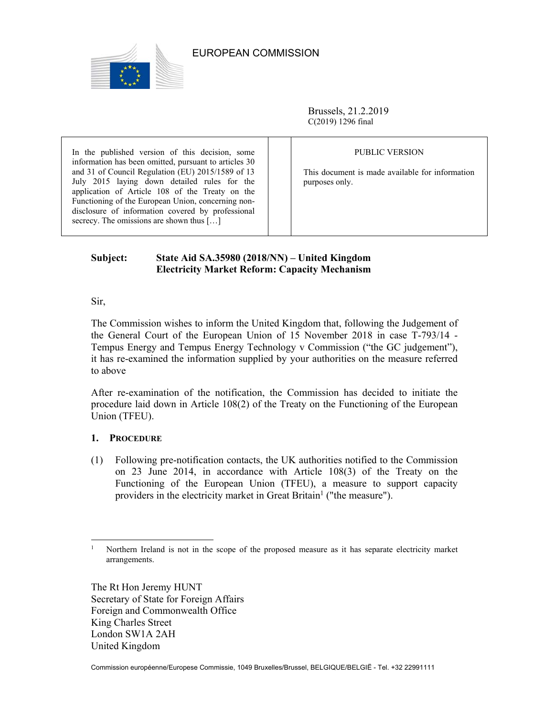

## EUROPEAN COMMISSION

Brussels, 21.2.2019 C(2019) 1296 final

In the published version of this decision, some information has been omitted, pursuant to articles 30 and 31 of Council Regulation (EU) 2015/1589 of 13 July 2015 laying down detailed rules for the application of Article 108 of the Treaty on the Functioning of the European Union, concerning nondisclosure of information covered by professional secrecy. The omissions are shown thus [...]

## PUBLIC VERSION

This document is made available for information purposes only.

# **Subject: State Aid SA.35980 (2018/NN) – United Kingdom Electricity Market Reform: Capacity Mechanism**

Sir,

The Commission wishes to inform the United Kingdom that, following the Judgement of the General Court of the European Union of 15 November 2018 in case T-793/14 - Tempus Energy and Tempus Energy Technology v Commission ("the GC judgement"), it has re-examined the information supplied by your authorities on the measure referred to above

After re-examination of the notification, the Commission has decided to initiate the procedure laid down in Article 108(2) of the Treaty on the Functioning of the European Union (TFEU).

# **1. PROCEDURE**

(1) Following pre-notification contacts, the UK authorities notified to the Commission on 23 June 2014, in accordance with Article 108(3) of the Treaty on the Functioning of the European Union (TFEU), a measure to support capacity providers in the electricity market in Great Britain<sup>1</sup> ("the measure").

The Rt Hon Jeremy HUNT Secretary of State for Foreign Affairs Foreign and Commonwealth Office King Charles Street London SW1A 2AH United Kingdom

 $\overline{a}$ 1 Northern Ireland is not in the scope of the proposed measure as it has separate electricity market arrangements.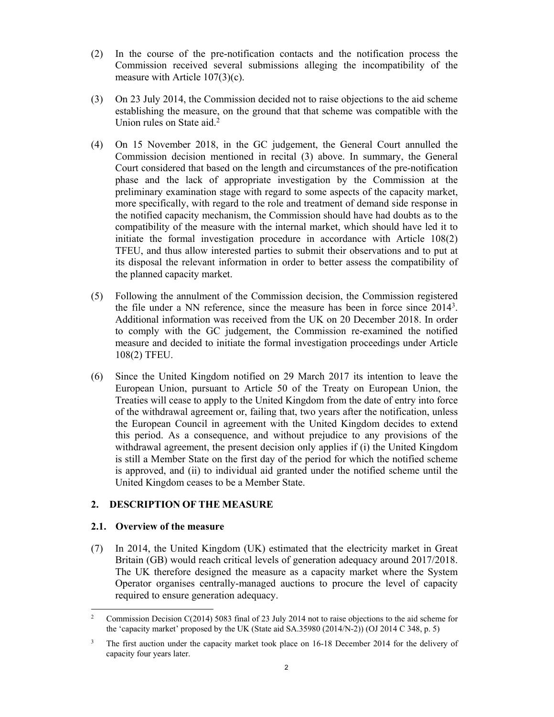- (2) In the course of the pre-notification contacts and the notification process the Commission received several submissions alleging the incompatibility of the measure with Article 107(3)(c).
- (3) On 23 July 2014, the Commission decided not to raise objections to the aid scheme establishing the measure, on the ground that that scheme was compatible with the Union rules on State aid.<sup>2</sup>
- (4) On 15 November 2018, in the GC judgement, the General Court annulled the Commission decision mentioned in recital (3) above. In summary, the General Court considered that based on the length and circumstances of the pre-notification phase and the lack of appropriate investigation by the Commission at the preliminary examination stage with regard to some aspects of the capacity market, more specifically, with regard to the role and treatment of demand side response in the notified capacity mechanism, the Commission should have had doubts as to the compatibility of the measure with the internal market, which should have led it to initiate the formal investigation procedure in accordance with Article 108(2) TFEU, and thus allow interested parties to submit their observations and to put at its disposal the relevant information in order to better assess the compatibility of the planned capacity market.
- (5) Following the annulment of the Commission decision, the Commission registered the file under a NN reference, since the measure has been in force since 20143. Additional information was received from the UK on 20 December 2018. In order to comply with the GC judgement, the Commission re-examined the notified measure and decided to initiate the formal investigation proceedings under Article 108(2) TFEU.
- (6) Since the United Kingdom notified on 29 March 2017 its intention to leave the European Union, pursuant to Article 50 of the Treaty on European Union, the Treaties will cease to apply to the United Kingdom from the date of entry into force of the withdrawal agreement or, failing that, two years after the notification, unless the European Council in agreement with the United Kingdom decides to extend this period. As a consequence, and without prejudice to any provisions of the withdrawal agreement, the present decision only applies if (i) the United Kingdom is still a Member State on the first day of the period for which the notified scheme is approved, and (ii) to individual aid granted under the notified scheme until the United Kingdom ceases to be a Member State.

## **2. DESCRIPTION OF THE MEASURE**

## **2.1. Overview of the measure**

(7) In 2014, the United Kingdom (UK) estimated that the electricity market in Great Britain (GB) would reach critical levels of generation adequacy around 2017/2018. The UK therefore designed the measure as a capacity market where the System Operator organises centrally-managed auctions to procure the level of capacity required to ensure generation adequacy.

 $\overline{a}$ 2 Commission Decision C(2014) 5083 final of 23 July 2014 not to raise objections to the aid scheme for the 'capacity market' proposed by the UK (State aid SA.35980 (2014/N-2)) (OJ 2014 C 348, p. 5)

<sup>3</sup> The first auction under the capacity market took place on 16-18 December 2014 for the delivery of capacity four years later.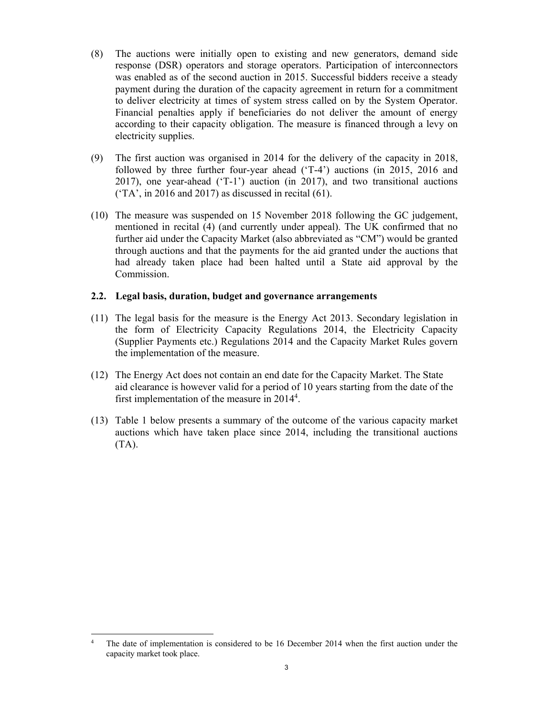- (8) The auctions were initially open to existing and new generators, demand side response (DSR) operators and storage operators. Participation of interconnectors was enabled as of the second auction in 2015. Successful bidders receive a steady payment during the duration of the capacity agreement in return for a commitment to deliver electricity at times of system stress called on by the System Operator. Financial penalties apply if beneficiaries do not deliver the amount of energy according to their capacity obligation. The measure is financed through a levy on electricity supplies.
- (9) The first auction was organised in 2014 for the delivery of the capacity in 2018, followed by three further four-year ahead ('T-4') auctions (in 2015, 2016 and 2017), one year-ahead ('T-1') auction (in 2017), and two transitional auctions  $(TA', \text{in } 2016 \text{ and } 2017)$  as discussed in recital (61).
- (10) The measure was suspended on 15 November 2018 following the GC judgement, mentioned in recital (4) (and currently under appeal). The UK confirmed that no further aid under the Capacity Market (also abbreviated as "CM") would be granted through auctions and that the payments for the aid granted under the auctions that had already taken place had been halted until a State aid approval by the Commission.

## **2.2. Legal basis, duration, budget and governance arrangements**

- (11) The legal basis for the measure is the Energy Act 2013. Secondary legislation in the form of Electricity Capacity Regulations 2014, the Electricity Capacity (Supplier Payments etc.) Regulations 2014 and the Capacity Market Rules govern the implementation of the measure.
- (12) The Energy Act does not contain an end date for the Capacity Market. The State aid clearance is however valid for a period of 10 years starting from the date of the first implementation of the measure in 20144.
- (13) Table 1 below presents a summary of the outcome of the various capacity market auctions which have taken place since 2014, including the transitional auctions (TA).

 $\overline{a}$ 

<sup>4</sup> The date of implementation is considered to be 16 December 2014 when the first auction under the capacity market took place.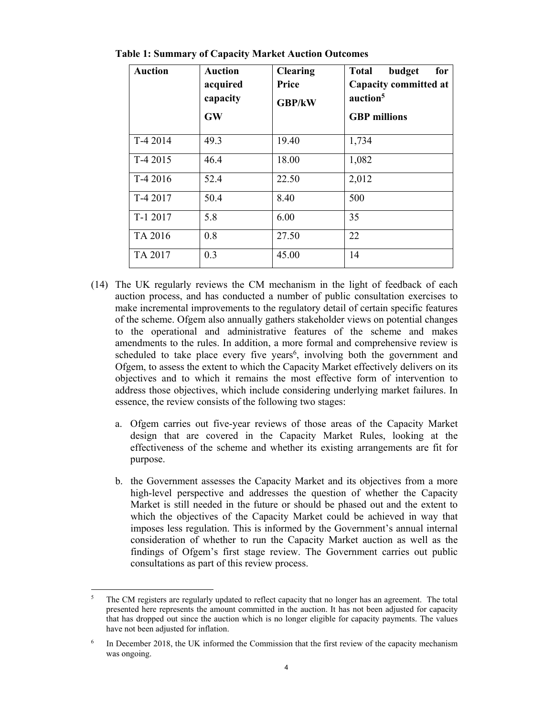| <b>Auction</b> | <b>Auction</b><br>acquired<br>capacity<br><b>GW</b> | <b>Clearing</b><br>Price<br><b>GBP/kW</b> | budget<br><b>Total</b><br>for<br>Capacity committed at<br>auction <sup>5</sup><br><b>GBP</b> millions |
|----------------|-----------------------------------------------------|-------------------------------------------|-------------------------------------------------------------------------------------------------------|
| T-4 2014       | 49.3                                                | 19.40                                     | 1,734                                                                                                 |
| T-4 2015       | 46.4                                                | 18.00                                     | 1,082                                                                                                 |
| T-4 2016       | 52.4                                                | 22.50                                     | 2,012                                                                                                 |
| T-4 2017       | 50.4                                                | 8.40                                      | 500                                                                                                   |
| T-1 2017       | 5.8                                                 | 6.00                                      | 35                                                                                                    |
| TA 2016        | 0.8                                                 | 27.50                                     | 22                                                                                                    |
| TA 2017        | 0.3                                                 | 45.00                                     | 14                                                                                                    |

**Table 1: Summary of Capacity Market Auction Outcomes** 

- (14) The UK regularly reviews the CM mechanism in the light of feedback of each auction process, and has conducted a number of public consultation exercises to make incremental improvements to the regulatory detail of certain specific features of the scheme. Ofgem also annually gathers stakeholder views on potential changes to the operational and administrative features of the scheme and makes amendments to the rules. In addition, a more formal and comprehensive review is scheduled to take place every five years<sup>6</sup>, involving both the government and Ofgem, to assess the extent to which the Capacity Market effectively delivers on its objectives and to which it remains the most effective form of intervention to address those objectives, which include considering underlying market failures. In essence, the review consists of the following two stages:
	- a. Ofgem carries out five-year reviews of those areas of the Capacity Market design that are covered in the Capacity Market Rules, looking at the effectiveness of the scheme and whether its existing arrangements are fit for purpose.
	- b. the Government assesses the Capacity Market and its objectives from a more high-level perspective and addresses the question of whether the Capacity Market is still needed in the future or should be phased out and the extent to which the objectives of the Capacity Market could be achieved in way that imposes less regulation. This is informed by the Government's annual internal consideration of whether to run the Capacity Market auction as well as the findings of Ofgem's first stage review. The Government carries out public consultations as part of this review process.

 5 The CM registers are regularly updated to reflect capacity that no longer has an agreement. The total presented here represents the amount committed in the auction. It has not been adjusted for capacity that has dropped out since the auction which is no longer eligible for capacity payments. The values have not been adjusted for inflation.

<sup>6</sup> In December 2018, the UK informed the Commission that the first review of the capacity mechanism was ongoing.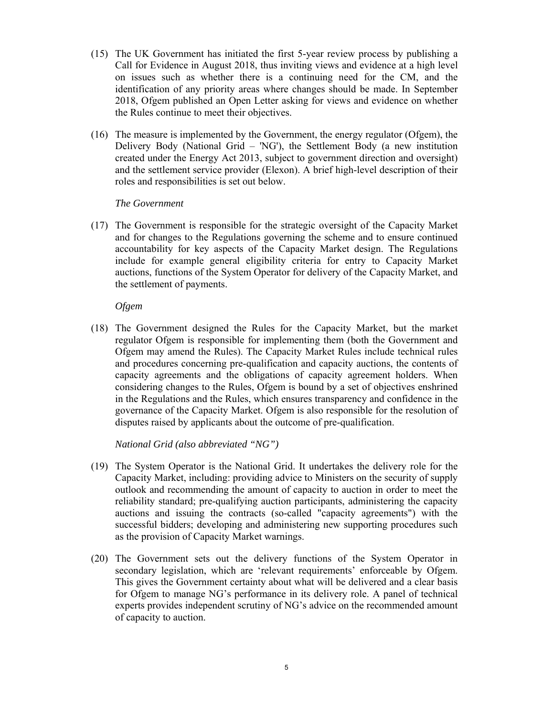- (15) The UK Government has initiated the first 5-year review process by publishing a Call for Evidence in August 2018, thus inviting views and evidence at a high level on issues such as whether there is a continuing need for the CM, and the identification of any priority areas where changes should be made. In September 2018, Ofgem published an Open Letter asking for views and evidence on whether the Rules continue to meet their objectives.
- (16) The measure is implemented by the Government, the energy regulator (Ofgem), the Delivery Body (National Grid – 'NG'), the Settlement Body (a new institution created under the Energy Act 2013, subject to government direction and oversight) and the settlement service provider (Elexon). A brief high-level description of their roles and responsibilities is set out below.

## *The Government*

(17) The Government is responsible for the strategic oversight of the Capacity Market and for changes to the Regulations governing the scheme and to ensure continued accountability for key aspects of the Capacity Market design. The Regulations include for example general eligibility criteria for entry to Capacity Market auctions, functions of the System Operator for delivery of the Capacity Market, and the settlement of payments.

### *Ofgem*

(18) The Government designed the Rules for the Capacity Market, but the market regulator Ofgem is responsible for implementing them (both the Government and Ofgem may amend the Rules). The Capacity Market Rules include technical rules and procedures concerning pre-qualification and capacity auctions, the contents of capacity agreements and the obligations of capacity agreement holders. When considering changes to the Rules, Ofgem is bound by a set of objectives enshrined in the Regulations and the Rules, which ensures transparency and confidence in the governance of the Capacity Market. Ofgem is also responsible for the resolution of disputes raised by applicants about the outcome of pre-qualification.

*National Grid (also abbreviated "NG")* 

- (19) The System Operator is the National Grid. It undertakes the delivery role for the Capacity Market, including: providing advice to Ministers on the security of supply outlook and recommending the amount of capacity to auction in order to meet the reliability standard; pre-qualifying auction participants, administering the capacity auctions and issuing the contracts (so-called "capacity agreements") with the successful bidders; developing and administering new supporting procedures such as the provision of Capacity Market warnings.
- (20) The Government sets out the delivery functions of the System Operator in secondary legislation, which are 'relevant requirements' enforceable by Ofgem. This gives the Government certainty about what will be delivered and a clear basis for Ofgem to manage NG's performance in its delivery role. A panel of technical experts provides independent scrutiny of NG's advice on the recommended amount of capacity to auction.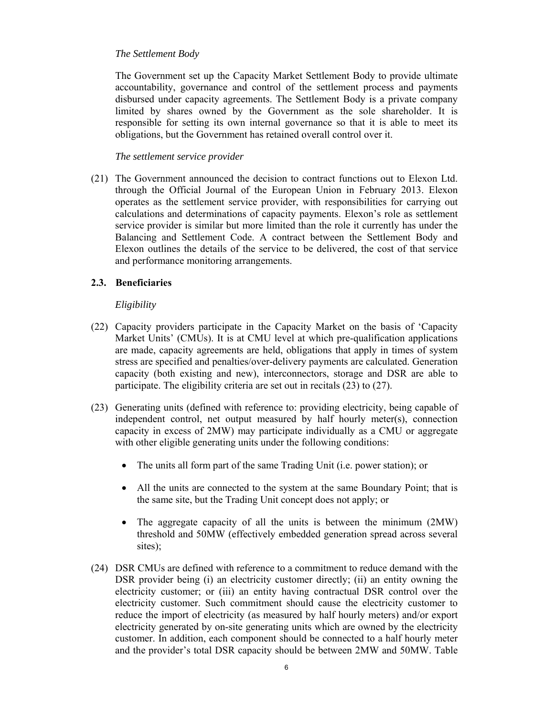### *The Settlement Body*

The Government set up the Capacity Market Settlement Body to provide ultimate accountability, governance and control of the settlement process and payments disbursed under capacity agreements. The Settlement Body is a private company limited by shares owned by the Government as the sole shareholder. It is responsible for setting its own internal governance so that it is able to meet its obligations, but the Government has retained overall control over it.

### *The settlement service provider*

(21) The Government announced the decision to contract functions out to Elexon Ltd. through the Official Journal of the European Union in February 2013. Elexon operates as the settlement service provider, with responsibilities for carrying out calculations and determinations of capacity payments. Elexon's role as settlement service provider is similar but more limited than the role it currently has under the Balancing and Settlement Code. A contract between the Settlement Body and Elexon outlines the details of the service to be delivered, the cost of that service and performance monitoring arrangements.

## **2.3. Beneficiaries**

## *Eligibility*

- (22) Capacity providers participate in the Capacity Market on the basis of 'Capacity Market Units' (CMUs). It is at CMU level at which pre-qualification applications are made, capacity agreements are held, obligations that apply in times of system stress are specified and penalties/over-delivery payments are calculated. Generation capacity (both existing and new), interconnectors, storage and DSR are able to participate. The eligibility criteria are set out in recitals (23) to (27).
- (23) Generating units (defined with reference to: providing electricity, being capable of independent control, net output measured by half hourly meter(s), connection capacity in excess of 2MW) may participate individually as a CMU or aggregate with other eligible generating units under the following conditions:
	- The units all form part of the same Trading Unit (i.e. power station); or
	- All the units are connected to the system at the same Boundary Point; that is the same site, but the Trading Unit concept does not apply; or
	- The aggregate capacity of all the units is between the minimum (2MW) threshold and 50MW (effectively embedded generation spread across several sites);
- (24) DSR CMUs are defined with reference to a commitment to reduce demand with the DSR provider being (i) an electricity customer directly; (ii) an entity owning the electricity customer; or (iii) an entity having contractual DSR control over the electricity customer. Such commitment should cause the electricity customer to reduce the import of electricity (as measured by half hourly meters) and/or export electricity generated by on-site generating units which are owned by the electricity customer. In addition, each component should be connected to a half hourly meter and the provider's total DSR capacity should be between 2MW and 50MW. Table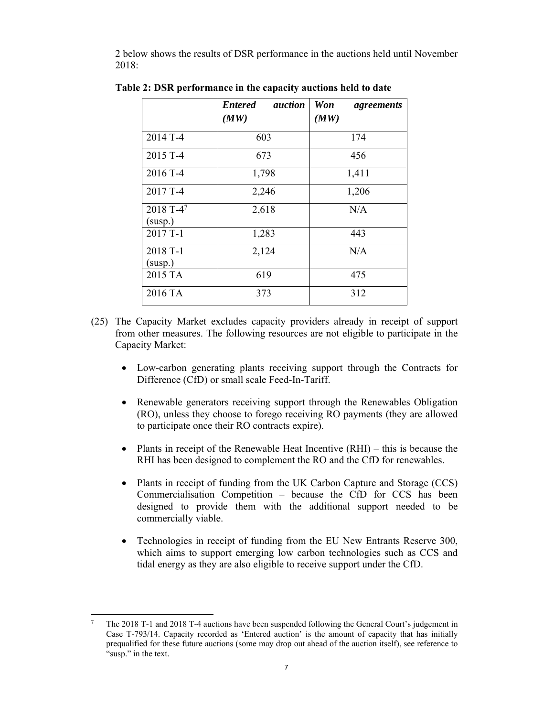2 below shows the results of DSR performance in the auctions held until November 2018:

|                      | <b>Entered</b><br><i>auction</i><br>(MW) | <b>Won</b><br>agreements<br>(MW) |
|----------------------|------------------------------------------|----------------------------------|
| 2014 T-4             | 603                                      | 174                              |
| 2015 T-4             | 673                                      | 456                              |
| 2016 T-4             | 1,798                                    | 1,411                            |
| 2017 T-4             | 2,246                                    | 1,206                            |
| 2018 T-47<br>(susp.) | 2,618                                    | N/A                              |
| 2017 T-1             | 1,283                                    | 443                              |
| 2018 T-1<br>(susp.)  | 2,124                                    | N/A                              |
| 2015 TA              | 619                                      | 475                              |
| 2016 TA              | 373                                      | 312                              |

**Table 2: DSR performance in the capacity auctions held to date** 

- (25) The Capacity Market excludes capacity providers already in receipt of support from other measures. The following resources are not eligible to participate in the Capacity Market:
	- Low-carbon generating plants receiving support through the Contracts for Difference (CfD) or small scale Feed-In-Tariff.
	- Renewable generators receiving support through the Renewables Obligation (RO), unless they choose to forego receiving RO payments (they are allowed to participate once their RO contracts expire).
	- Plants in receipt of the Renewable Heat Incentive  $(RHI)$  this is because the RHI has been designed to complement the RO and the CfD for renewables.
	- Plants in receipt of funding from the UK Carbon Capture and Storage (CCS) Commercialisation Competition – because the CfD for CCS has been designed to provide them with the additional support needed to be commercially viable.
	- Technologies in receipt of funding from the EU New Entrants Reserve 300, which aims to support emerging low carbon technologies such as CCS and tidal energy as they are also eligible to receive support under the CfD.

 $\overline{a}$ 

<sup>7</sup> The 2018 T-1 and 2018 T-4 auctions have been suspended following the General Court's judgement in Case T-793/14. Capacity recorded as 'Entered auction' is the amount of capacity that has initially prequalified for these future auctions (some may drop out ahead of the auction itself), see reference to "susp." in the text.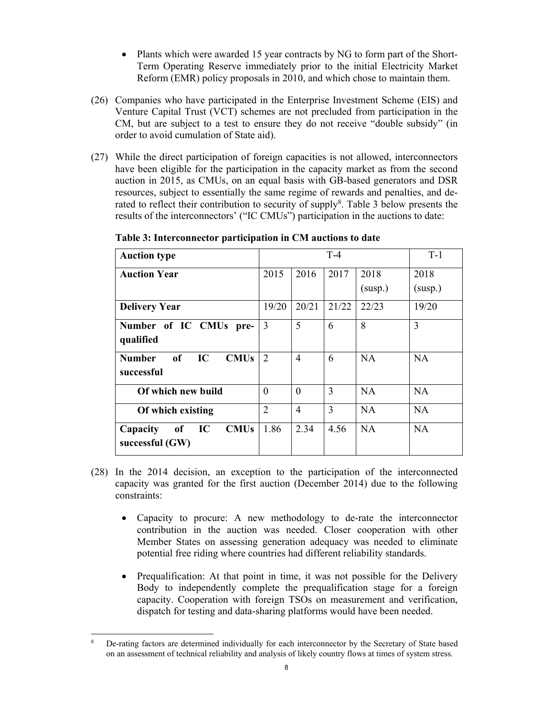- Plants which were awarded 15 year contracts by NG to form part of the Short-Term Operating Reserve immediately prior to the initial Electricity Market Reform (EMR) policy proposals in 2010, and which chose to maintain them.
- (26) Companies who have participated in the Enterprise Investment Scheme (EIS) and Venture Capital Trust (VCT) schemes are not precluded from participation in the CM, but are subject to a test to ensure they do not receive "double subsidy" (in order to avoid cumulation of State aid).
- (27) While the direct participation of foreign capacities is not allowed, interconnectors have been eligible for the participation in the capacity market as from the second auction in 2015, as CMUs, on an equal basis with GB-based generators and DSR resources, subject to essentially the same regime of rewards and penalties, and derated to reflect their contribution to security of supply<sup>8</sup>. Table 3 below presents the results of the interconnectors' ("IC CMUs") participation in the auctions to date:

| <b>Auction type</b>                                                          |                |                          | $T-4$ |                 | $T-1$           |
|------------------------------------------------------------------------------|----------------|--------------------------|-------|-----------------|-----------------|
| <b>Auction Year</b>                                                          | 2015           | 2016                     | 2017  | 2018<br>(susp.) | 2018<br>(susp.) |
| <b>Delivery Year</b>                                                         | 19/20          | 20/21                    | 21/22 | 22/23           | 19/20           |
| Number of IC CMUs pre-<br>qualified                                          | 3              | 5                        | 6     | 8               | 3               |
| <sub>of</sub><br>IC<br><b>CMU<sub>s</sub></b><br><b>Number</b><br>successful | 2              | $\overline{\mathcal{A}}$ | 6     | <b>NA</b>       | NA              |
| Of which new build                                                           | $\Omega$       | $\Omega$                 | 3     | <b>NA</b>       | NA              |
| Of which existing                                                            | $\overline{2}$ | 4                        | 3     | <b>NA</b>       | NA              |
| IC<br><b>CMUs</b><br>of<br>Capacity<br>successful $(GW)$                     | 1.86           | 2.34                     | 4.56  | NA              | NA              |

**Table 3: Interconnector participation in CM auctions to date** 

- (28) In the 2014 decision, an exception to the participation of the interconnected capacity was granted for the first auction (December 2014) due to the following constraints:
	- Capacity to procure: A new methodology to de-rate the interconnector contribution in the auction was needed. Closer cooperation with other Member States on assessing generation adequacy was needed to eliminate potential free riding where countries had different reliability standards.
	- Prequalification: At that point in time, it was not possible for the Delivery Body to independently complete the prequalification stage for a foreign capacity. Cooperation with foreign TSOs on measurement and verification, dispatch for testing and data-sharing platforms would have been needed.

 $\overline{a}$ 8 De-rating factors are determined individually for each interconnector by the Secretary of State based on an assessment of technical reliability and analysis of likely country flows at times of system stress.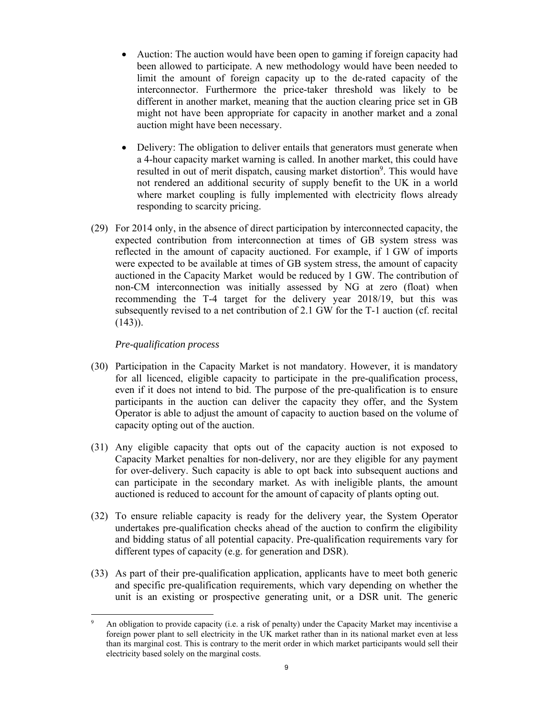- Auction: The auction would have been open to gaming if foreign capacity had been allowed to participate. A new methodology would have been needed to limit the amount of foreign capacity up to the de-rated capacity of the interconnector. Furthermore the price-taker threshold was likely to be different in another market, meaning that the auction clearing price set in GB might not have been appropriate for capacity in another market and a zonal auction might have been necessary.
- Delivery: The obligation to deliver entails that generators must generate when a 4-hour capacity market warning is called. In another market, this could have resulted in out of merit dispatch, causing market distortion<sup>9</sup>. This would have not rendered an additional security of supply benefit to the UK in a world where market coupling is fully implemented with electricity flows already responding to scarcity pricing.
- (29) For 2014 only, in the absence of direct participation by interconnected capacity, the expected contribution from interconnection at times of GB system stress was reflected in the amount of capacity auctioned. For example, if 1 GW of imports were expected to be available at times of GB system stress, the amount of capacity auctioned in the Capacity Market would be reduced by 1 GW. The contribution of non-CM interconnection was initially assessed by NG at zero (float) when recommending the T-4 target for the delivery year 2018/19, but this was subsequently revised to a net contribution of 2.1 GW for the T-1 auction (cf. recital  $(143)$ ).

## *Pre-qualification process*

- (30) Participation in the Capacity Market is not mandatory. However, it is mandatory for all licenced, eligible capacity to participate in the pre-qualification process, even if it does not intend to bid. The purpose of the pre-qualification is to ensure participants in the auction can deliver the capacity they offer, and the System Operator is able to adjust the amount of capacity to auction based on the volume of capacity opting out of the auction.
- (31) Any eligible capacity that opts out of the capacity auction is not exposed to Capacity Market penalties for non-delivery, nor are they eligible for any payment for over-delivery. Such capacity is able to opt back into subsequent auctions and can participate in the secondary market. As with ineligible plants, the amount auctioned is reduced to account for the amount of capacity of plants opting out.
- (32) To ensure reliable capacity is ready for the delivery year, the System Operator undertakes pre-qualification checks ahead of the auction to confirm the eligibility and bidding status of all potential capacity. Pre-qualification requirements vary for different types of capacity (e.g. for generation and DSR).
- (33) As part of their pre-qualification application, applicants have to meet both generic and specific pre-qualification requirements, which vary depending on whether the unit is an existing or prospective generating unit, or a DSR unit. The generic

 $\overline{a}$ 9 An obligation to provide capacity (i.e. a risk of penalty) under the Capacity Market may incentivise a foreign power plant to sell electricity in the UK market rather than in its national market even at less than its marginal cost. This is contrary to the merit order in which market participants would sell their electricity based solely on the marginal costs.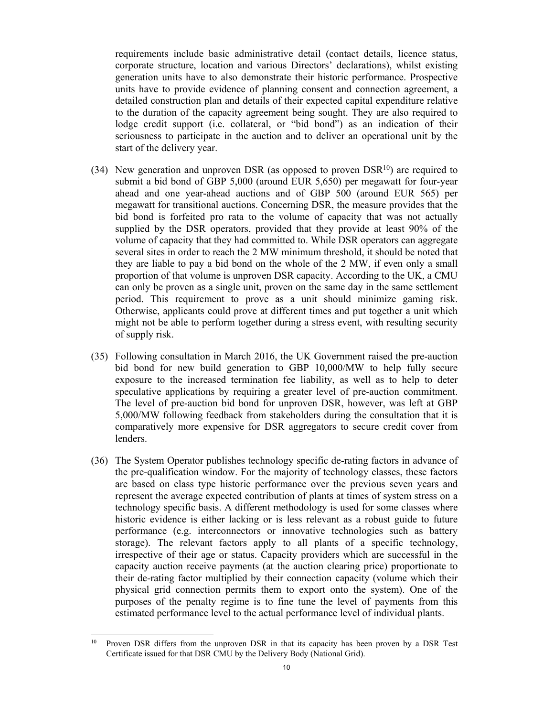requirements include basic administrative detail (contact details, licence status, corporate structure, location and various Directors' declarations), whilst existing generation units have to also demonstrate their historic performance. Prospective units have to provide evidence of planning consent and connection agreement, a detailed construction plan and details of their expected capital expenditure relative to the duration of the capacity agreement being sought. They are also required to lodge credit support (i.e. collateral, or "bid bond") as an indication of their seriousness to participate in the auction and to deliver an operational unit by the start of the delivery year.

- (34) New generation and unproven DSR (as opposed to proven  $DSR<sup>10</sup>$ ) are required to submit a bid bond of GBP 5,000 (around EUR 5,650) per megawatt for four-year ahead and one year-ahead auctions and of GBP 500 (around EUR 565) per megawatt for transitional auctions. Concerning DSR, the measure provides that the bid bond is forfeited pro rata to the volume of capacity that was not actually supplied by the DSR operators, provided that they provide at least 90% of the volume of capacity that they had committed to. While DSR operators can aggregate several sites in order to reach the 2 MW minimum threshold, it should be noted that they are liable to pay a bid bond on the whole of the 2 MW, if even only a small proportion of that volume is unproven DSR capacity. According to the UK, a CMU can only be proven as a single unit, proven on the same day in the same settlement period. This requirement to prove as a unit should minimize gaming risk. Otherwise, applicants could prove at different times and put together a unit which might not be able to perform together during a stress event, with resulting security of supply risk.
- (35) Following consultation in March 2016, the UK Government raised the pre-auction bid bond for new build generation to GBP 10,000/MW to help fully secure exposure to the increased termination fee liability, as well as to help to deter speculative applications by requiring a greater level of pre-auction commitment. The level of pre-auction bid bond for unproven DSR, however, was left at GBP 5,000/MW following feedback from stakeholders during the consultation that it is comparatively more expensive for DSR aggregators to secure credit cover from lenders.
- (36) The System Operator publishes technology specific de-rating factors in advance of the pre-qualification window. For the majority of technology classes, these factors are based on class type historic performance over the previous seven years and represent the average expected contribution of plants at times of system stress on a technology specific basis. A different methodology is used for some classes where historic evidence is either lacking or is less relevant as a robust guide to future performance (e.g. interconnectors or innovative technologies such as battery storage). The relevant factors apply to all plants of a specific technology, irrespective of their age or status. Capacity providers which are successful in the capacity auction receive payments (at the auction clearing price) proportionate to their de-rating factor multiplied by their connection capacity (volume which their physical grid connection permits them to export onto the system). One of the purposes of the penalty regime is to fine tune the level of payments from this estimated performance level to the actual performance level of individual plants.

 $\overline{a}$ <sup>10</sup> Proven DSR differs from the unproven DSR in that its capacity has been proven by a DSR Test Certificate issued for that DSR CMU by the Delivery Body (National Grid).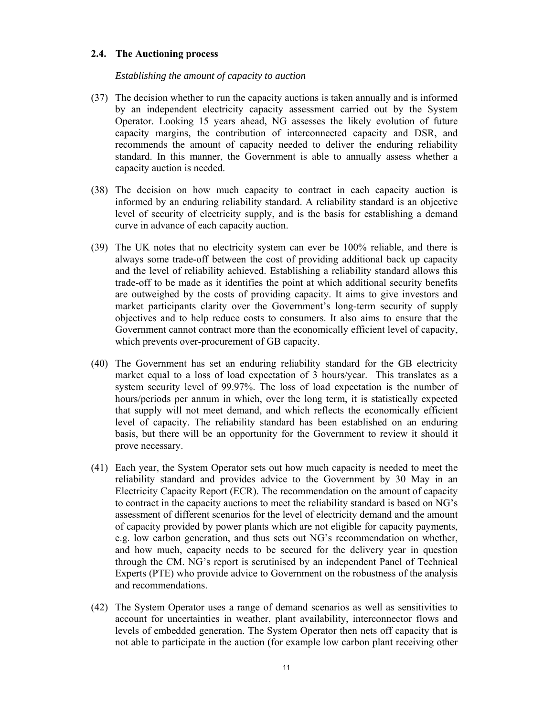#### **2.4. The Auctioning process**

#### *Establishing the amount of capacity to auction*

- (37) The decision whether to run the capacity auctions is taken annually and is informed by an independent electricity capacity assessment carried out by the System Operator. Looking 15 years ahead, NG assesses the likely evolution of future capacity margins, the contribution of interconnected capacity and DSR, and recommends the amount of capacity needed to deliver the enduring reliability standard. In this manner, the Government is able to annually assess whether a capacity auction is needed.
- (38) The decision on how much capacity to contract in each capacity auction is informed by an enduring reliability standard. A reliability standard is an objective level of security of electricity supply, and is the basis for establishing a demand curve in advance of each capacity auction.
- (39) The UK notes that no electricity system can ever be 100% reliable, and there is always some trade-off between the cost of providing additional back up capacity and the level of reliability achieved. Establishing a reliability standard allows this trade-off to be made as it identifies the point at which additional security benefits are outweighed by the costs of providing capacity. It aims to give investors and market participants clarity over the Government's long-term security of supply objectives and to help reduce costs to consumers. It also aims to ensure that the Government cannot contract more than the economically efficient level of capacity, which prevents over-procurement of GB capacity.
- (40) The Government has set an enduring reliability standard for the GB electricity market equal to a loss of load expectation of 3 hours/year. This translates as a system security level of 99.97%. The loss of load expectation is the number of hours/periods per annum in which, over the long term, it is statistically expected that supply will not meet demand, and which reflects the economically efficient level of capacity. The reliability standard has been established on an enduring basis, but there will be an opportunity for the Government to review it should it prove necessary.
- (41) Each year, the System Operator sets out how much capacity is needed to meet the reliability standard and provides advice to the Government by 30 May in an Electricity Capacity Report (ECR). The recommendation on the amount of capacity to contract in the capacity auctions to meet the reliability standard is based on NG's assessment of different scenarios for the level of electricity demand and the amount of capacity provided by power plants which are not eligible for capacity payments, e.g. low carbon generation, and thus sets out NG's recommendation on whether, and how much, capacity needs to be secured for the delivery year in question through the CM. NG's report is scrutinised by an independent Panel of Technical Experts (PTE) who provide advice to Government on the robustness of the analysis and recommendations.
- (42) The System Operator uses a range of demand scenarios as well as sensitivities to account for uncertainties in weather, plant availability, interconnector flows and levels of embedded generation. The System Operator then nets off capacity that is not able to participate in the auction (for example low carbon plant receiving other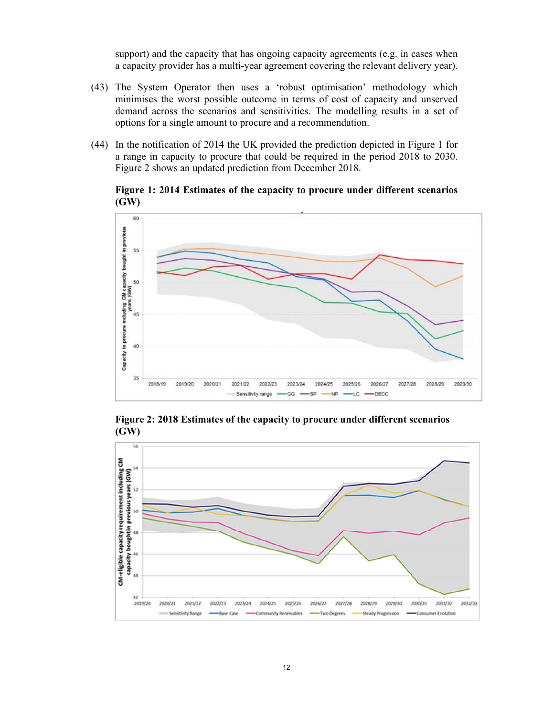support) and the capacity that has ongoing capacity agreements (e.g. in cases when a capacity provider has a multi-year agreement covering the relevant delivery year).

- (43) The System Operator then uses a 'robust optimisation' methodology which minimises the worst possible outcome in terms of cost of capacity and unserved demand across the scenarios and sensitivities. The modelling results in a set of options for a single amount to procure and a recommendation.
- (44) In the notification of 2014 the UK provided the prediction depicted in Figure 1 for a range in capacity to procure that could be required in the period 2018 to 2030. Figure 2 shows an updated prediction from December 2018.

## **Figure 1: 2014 Estimates of the capacity to procure under different scenarios (GW)**



**Figure 2: 2018 Estimates of the capacity to procure under different scenarios (GW)** 

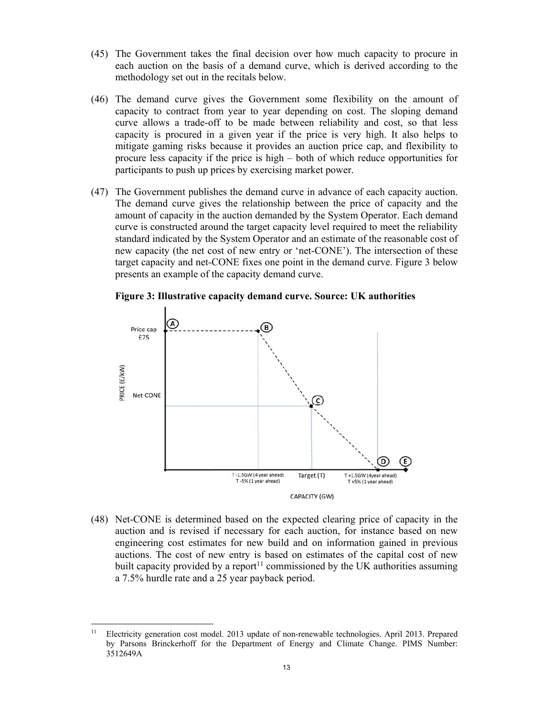- (45) The Government takes the final decision over how much capacity to procure in each auction on the basis of a demand curve, which is derived according to the methodology set out in the recitals below.
- (46) The demand curve gives the Government some flexibility on the amount of capacity to contract from year to year depending on cost. The sloping demand curve allows a trade-off to be made between reliability and cost, so that less capacity is procured in a given year if the price is very high. It also helps to mitigate gaming risks because it provides an auction price cap, and flexibility to procure less capacity if the price is high – both of which reduce opportunities for participants to push up prices by exercising market power.
- (47) The Government publishes the demand curve in advance of each capacity auction. The demand curve gives the relationship between the price of capacity and the amount of capacity in the auction demanded by the System Operator. Each demand curve is constructed around the target capacity level required to meet the reliability standard indicated by the System Operator and an estimate of the reasonable cost of new capacity (the net cost of new entry or 'net-CONE'). The intersection of these target capacity and net-CONE fixes one point in the demand curve. Figure 3 below presents an example of the capacity demand curve.





(48) Net-CONE is determined based on the expected clearing price of capacity in the auction and is revised if necessary for each auction, for instance based on new engineering cost estimates for new build and on information gained in previous auctions. The cost of new entry is based on estimates of the capital cost of new built capacity provided by a report<sup>11</sup> commissioned by the UK authorities assuming a 7.5% hurdle rate and a 25 year payback period.

 $11$ 11 Electricity generation cost model. 2013 update of non-renewable technologies. April 2013. Prepared by Parsons Brinckerhoff for the Department of Energy and Climate Change. PIMS Number: 3512649A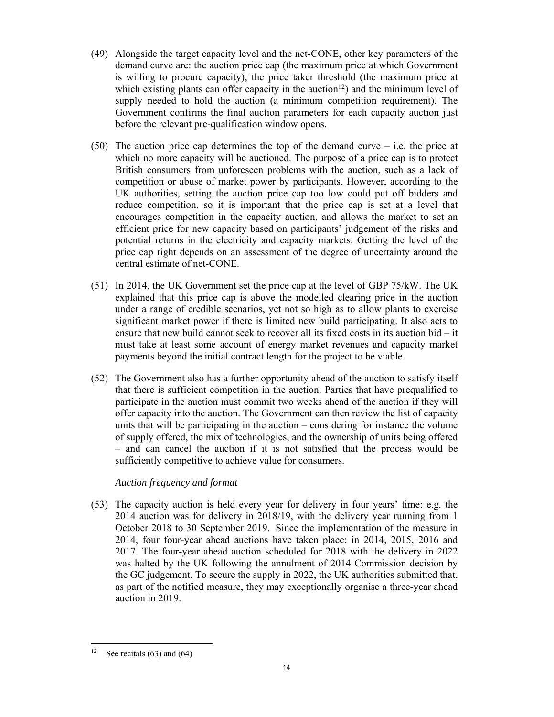- (49) Alongside the target capacity level and the net-CONE, other key parameters of the demand curve are: the auction price cap (the maximum price at which Government is willing to procure capacity), the price taker threshold (the maximum price at which existing plants can offer capacity in the auction<sup>12</sup>) and the minimum level of supply needed to hold the auction (a minimum competition requirement). The Government confirms the final auction parameters for each capacity auction just before the relevant pre-qualification window opens.
- (50) The auction price cap determines the top of the demand curve i.e. the price at which no more capacity will be auctioned. The purpose of a price cap is to protect British consumers from unforeseen problems with the auction, such as a lack of competition or abuse of market power by participants. However, according to the UK authorities, setting the auction price cap too low could put off bidders and reduce competition, so it is important that the price cap is set at a level that encourages competition in the capacity auction, and allows the market to set an efficient price for new capacity based on participants' judgement of the risks and potential returns in the electricity and capacity markets. Getting the level of the price cap right depends on an assessment of the degree of uncertainty around the central estimate of net-CONE.
- (51) In 2014, the UK Government set the price cap at the level of GBP 75/kW. The UK explained that this price cap is above the modelled clearing price in the auction under a range of credible scenarios, yet not so high as to allow plants to exercise significant market power if there is limited new build participating. It also acts to ensure that new build cannot seek to recover all its fixed costs in its auction bid – it must take at least some account of energy market revenues and capacity market payments beyond the initial contract length for the project to be viable.
- (52) The Government also has a further opportunity ahead of the auction to satisfy itself that there is sufficient competition in the auction. Parties that have prequalified to participate in the auction must commit two weeks ahead of the auction if they will offer capacity into the auction. The Government can then review the list of capacity units that will be participating in the auction – considering for instance the volume of supply offered, the mix of technologies, and the ownership of units being offered – and can cancel the auction if it is not satisfied that the process would be sufficiently competitive to achieve value for consumers.

# *Auction frequency and format*

(53) The capacity auction is held every year for delivery in four years' time: e.g. the 2014 auction was for delivery in 2018/19, with the delivery year running from 1 October 2018 to 30 September 2019. Since the implementation of the measure in 2014, four four-year ahead auctions have taken place: in 2014, 2015, 2016 and 2017. The four-year ahead auction scheduled for 2018 with the delivery in 2022 was halted by the UK following the annulment of 2014 Commission decision by the GC judgement. To secure the supply in 2022, the UK authorities submitted that, as part of the notified measure, they may exceptionally organise a three-year ahead auction in 2019.

 $12$ See recitals  $(63)$  and  $(64)$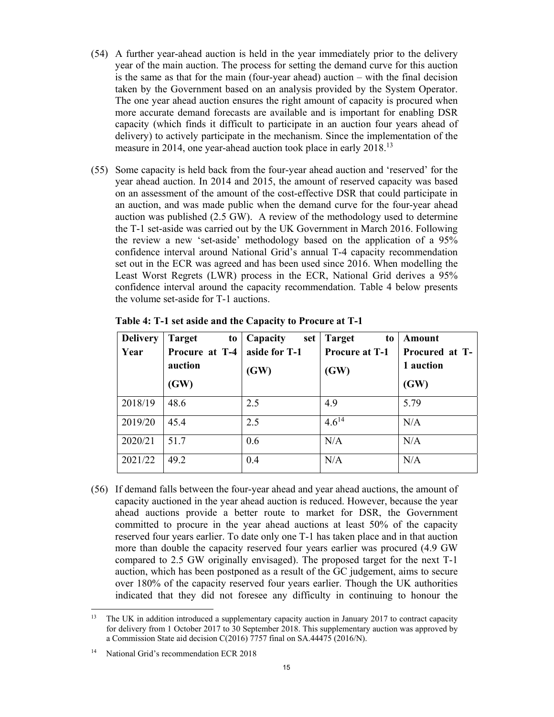- (54) A further year-ahead auction is held in the year immediately prior to the delivery year of the main auction. The process for setting the demand curve for this auction is the same as that for the main (four-year ahead) auction – with the final decision taken by the Government based on an analysis provided by the System Operator. The one year ahead auction ensures the right amount of capacity is procured when more accurate demand forecasts are available and is important for enabling DSR capacity (which finds it difficult to participate in an auction four years ahead of delivery) to actively participate in the mechanism. Since the implementation of the measure in 2014, one year-ahead auction took place in early 2018.<sup>13</sup>
- (55) Some capacity is held back from the four-year ahead auction and 'reserved' for the year ahead auction. In 2014 and 2015, the amount of reserved capacity was based on an assessment of the amount of the cost-effective DSR that could participate in an auction, and was made public when the demand curve for the four-year ahead auction was published (2.5 GW). A review of the methodology used to determine the T-1 set-aside was carried out by the UK Government in March 2016. Following the review a new 'set-aside' methodology based on the application of a 95% confidence interval around National Grid's annual T-4 capacity recommendation set out in the ECR was agreed and has been used since 2016. When modelling the Least Worst Regrets (LWR) process in the ECR, National Grid derives a 95% confidence interval around the capacity recommendation. Table 4 below presents the volume set-aside for T-1 auctions.

| <b>Delivery</b> | <b>Target</b><br>to | Capacity<br>set | <b>Target</b><br>to   | Amount         |
|-----------------|---------------------|-----------------|-----------------------|----------------|
| Year            | Procure at T-4      | aside for T-1   | <b>Procure at T-1</b> | Procured at T- |
|                 | auction             | (GW)            | (GW)                  | 1 auction      |
|                 | (GW)                |                 |                       | (GW)           |
| 2018/19         | 48.6                | 2.5             | 4.9                   | 5.79           |
| 2019/20         | 45.4                | 2.5             | $4.6^{14}$            | N/A            |
| 2020/21         | 51.7                | 0.6             | N/A                   | N/A            |
| 2021/22         | 49.2                | 0.4             | N/A                   | N/A            |

**Table 4: T-1 set aside and the Capacity to Procure at T-1** 

(56) If demand falls between the four-year ahead and year ahead auctions, the amount of capacity auctioned in the year ahead auction is reduced. However, because the year ahead auctions provide a better route to market for DSR, the Government committed to procure in the year ahead auctions at least 50% of the capacity reserved four years earlier. To date only one T-1 has taken place and in that auction more than double the capacity reserved four years earlier was procured (4.9 GW compared to 2.5 GW originally envisaged). The proposed target for the next T-1 auction, which has been postponed as a result of the GC judgement, aims to secure over 180% of the capacity reserved four years earlier. Though the UK authorities indicated that they did not foresee any difficulty in continuing to honour the

 $\overline{a}$ <sup>13</sup> The UK in addition introduced a supplementary capacity auction in January 2017 to contract capacity for delivery from 1 October 2017 to 30 September 2018. This supplementary auction was approved by a Commission State aid decision C(2016) 7757 final on SA.44475 (2016/N).

<sup>&</sup>lt;sup>14</sup> National Grid's recommendation ECR 2018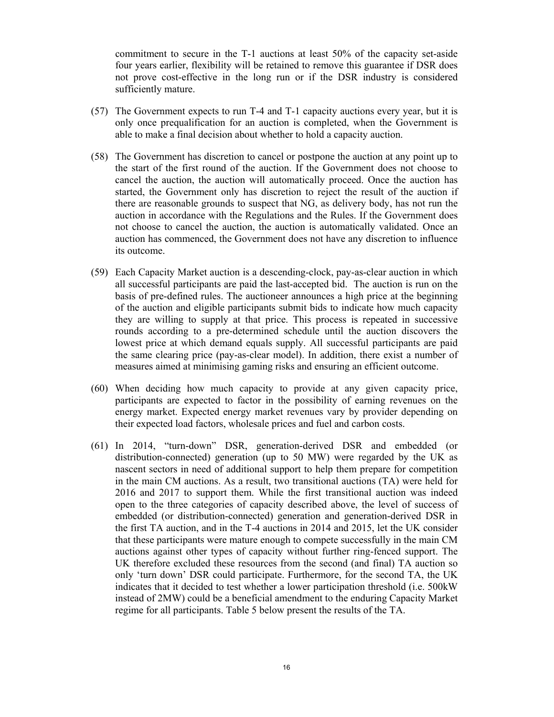commitment to secure in the T-1 auctions at least 50% of the capacity set-aside four years earlier, flexibility will be retained to remove this guarantee if DSR does not prove cost-effective in the long run or if the DSR industry is considered sufficiently mature.

- (57) The Government expects to run T-4 and T-1 capacity auctions every year, but it is only once prequalification for an auction is completed, when the Government is able to make a final decision about whether to hold a capacity auction.
- (58) The Government has discretion to cancel or postpone the auction at any point up to the start of the first round of the auction. If the Government does not choose to cancel the auction, the auction will automatically proceed. Once the auction has started, the Government only has discretion to reject the result of the auction if there are reasonable grounds to suspect that NG, as delivery body, has not run the auction in accordance with the Regulations and the Rules. If the Government does not choose to cancel the auction, the auction is automatically validated. Once an auction has commenced, the Government does not have any discretion to influence its outcome.
- (59) Each Capacity Market auction is a descending-clock, pay-as-clear auction in which all successful participants are paid the last-accepted bid. The auction is run on the basis of pre-defined rules. The auctioneer announces a high price at the beginning of the auction and eligible participants submit bids to indicate how much capacity they are willing to supply at that price. This process is repeated in successive rounds according to a pre-determined schedule until the auction discovers the lowest price at which demand equals supply. All successful participants are paid the same clearing price (pay-as-clear model). In addition, there exist a number of measures aimed at minimising gaming risks and ensuring an efficient outcome.
- (60) When deciding how much capacity to provide at any given capacity price, participants are expected to factor in the possibility of earning revenues on the energy market. Expected energy market revenues vary by provider depending on their expected load factors, wholesale prices and fuel and carbon costs.
- (61) In 2014, "turn-down" DSR, generation-derived DSR and embedded (or distribution-connected) generation (up to 50 MW) were regarded by the UK as nascent sectors in need of additional support to help them prepare for competition in the main CM auctions. As a result, two transitional auctions (TA) were held for 2016 and 2017 to support them. While the first transitional auction was indeed open to the three categories of capacity described above, the level of success of embedded (or distribution-connected) generation and generation-derived DSR in the first TA auction, and in the T-4 auctions in 2014 and 2015, let the UK consider that these participants were mature enough to compete successfully in the main CM auctions against other types of capacity without further ring-fenced support. The UK therefore excluded these resources from the second (and final) TA auction so only 'turn down' DSR could participate. Furthermore, for the second TA, the UK indicates that it decided to test whether a lower participation threshold (i.e. 500kW instead of 2MW) could be a beneficial amendment to the enduring Capacity Market regime for all participants. Table 5 below present the results of the TA.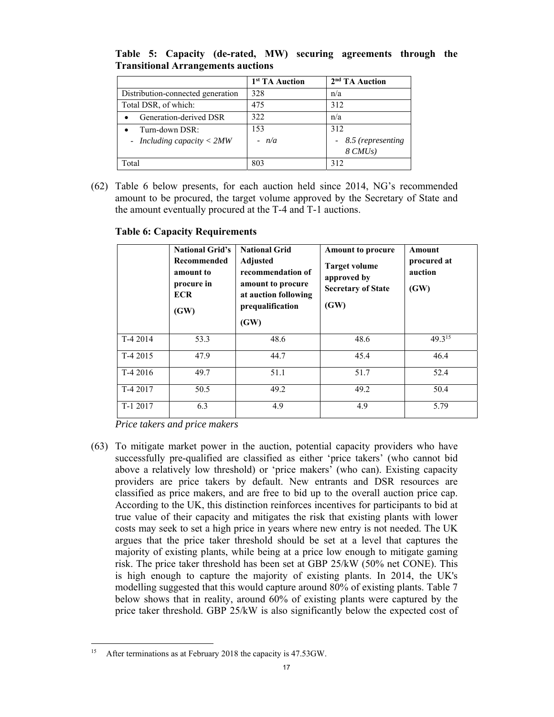|                                   | 1 <sup>st</sup> TA Auction | 2 <sup>nd</sup> TA Auction |
|-----------------------------------|----------------------------|----------------------------|
| Distribution-connected generation | 328                        | n/a                        |
| Total DSR, of which:              | 475                        | 312                        |
| Generation-derived DSR            | 322                        | n/a                        |
| Turn-down DSR:                    | 153                        | 312                        |
| - Including capacity $<$ 2MW      | $- n/a$                    | - 8.5 (representing        |
|                                   |                            | $8 \, C M Us$              |
| Total                             | 803                        | 312                        |

**Table 5: Capacity (de-rated, MW) securing agreements through the Transitional Arrangements auctions** 

(62) Table 6 below presents, for each auction held since 2014, NG's recommended amount to be procured, the target volume approved by the Secretary of State and the amount eventually procured at the T-4 and T-1 auctions.

|           | <b>National Grid's</b><br><b>Recommended</b><br>amount to<br>procure in<br><b>ECR</b><br>(GW) | <b>National Grid</b><br><b>Adjusted</b><br>recommendation of<br>amount to procure<br>at auction following<br>prequalification<br>(GW) | <b>Amount to procure</b><br><b>Target volume</b><br>approved by<br><b>Secretary of State</b><br>(GW) | Amount<br>procured at<br>auction<br>(GW) |
|-----------|-----------------------------------------------------------------------------------------------|---------------------------------------------------------------------------------------------------------------------------------------|------------------------------------------------------------------------------------------------------|------------------------------------------|
| T-4 2014  | 53.3                                                                                          | 48.6                                                                                                                                  | 48.6                                                                                                 | 49.315                                   |
| $T-42015$ | 47.9                                                                                          | 44.7                                                                                                                                  | 45.4                                                                                                 | 46.4                                     |
| T-4 2016  | 49.7                                                                                          | 51.1                                                                                                                                  | 51.7                                                                                                 | 52.4                                     |
| T-4 2017  | 50.5                                                                                          | 49.2                                                                                                                                  | 49.2                                                                                                 | 50.4                                     |
| $T-12017$ | 6.3                                                                                           | 4.9                                                                                                                                   | 4.9                                                                                                  | 5.79                                     |

## **Table 6: Capacity Requirements**

*Price takers and price makers* 

(63) To mitigate market power in the auction, potential capacity providers who have successfully pre-qualified are classified as either 'price takers' (who cannot bid above a relatively low threshold) or 'price makers' (who can). Existing capacity providers are price takers by default. New entrants and DSR resources are classified as price makers, and are free to bid up to the overall auction price cap. According to the UK, this distinction reinforces incentives for participants to bid at true value of their capacity and mitigates the risk that existing plants with lower costs may seek to set a high price in years where new entry is not needed. The UK argues that the price taker threshold should be set at a level that captures the majority of existing plants, while being at a price low enough to mitigate gaming risk. The price taker threshold has been set at GBP 25/kW (50% net CONE). This is high enough to capture the majority of existing plants. In 2014, the UK's modelling suggested that this would capture around 80% of existing plants. Table 7 below shows that in reality, around 60% of existing plants were captured by the price taker threshold. GBP 25/kW is also significantly below the expected cost of

<sup>15</sup> After terminations as at February 2018 the capacity is 47.53GW.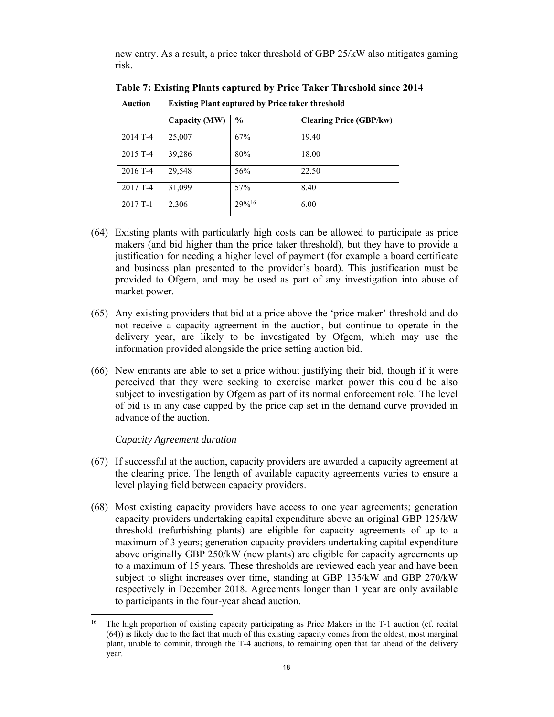new entry. As a result, a price taker threshold of GBP 25/kW also mitigates gaming risk.

| <b>Auction</b> | <b>Existing Plant captured by Price taker threshold</b> |               |                                |
|----------------|---------------------------------------------------------|---------------|--------------------------------|
|                | Capacity (MW)                                           | $\frac{6}{9}$ | <b>Clearing Price (GBP/kw)</b> |
| 2014 T-4       | 25,007                                                  | 67%           | 19.40                          |
| $2015$ T-4     | 39,286                                                  | 80%           | 18.00                          |
| 2016 T-4       | 29,548                                                  | 56%           | 22.50                          |
| 2017 T-4       | 31,099                                                  | 57%           | 8.40                           |
| $2017T-1$      | 2,306                                                   | 29%16         | 6.00                           |

**Table 7: Existing Plants captured by Price Taker Threshold since 2014** 

- (64) Existing plants with particularly high costs can be allowed to participate as price makers (and bid higher than the price taker threshold), but they have to provide a justification for needing a higher level of payment (for example a board certificate and business plan presented to the provider's board). This justification must be provided to Ofgem, and may be used as part of any investigation into abuse of market power.
- (65) Any existing providers that bid at a price above the 'price maker' threshold and do not receive a capacity agreement in the auction, but continue to operate in the delivery year, are likely to be investigated by Ofgem, which may use the information provided alongside the price setting auction bid.
- (66) New entrants are able to set a price without justifying their bid, though if it were perceived that they were seeking to exercise market power this could be also subject to investigation by Ofgem as part of its normal enforcement role. The level of bid is in any case capped by the price cap set in the demand curve provided in advance of the auction.

*Capacity Agreement duration* 

 $\overline{a}$ 

- (67) If successful at the auction, capacity providers are awarded a capacity agreement at the clearing price. The length of available capacity agreements varies to ensure a level playing field between capacity providers.
- (68) Most existing capacity providers have access to one year agreements; generation capacity providers undertaking capital expenditure above an original GBP 125/kW threshold (refurbishing plants) are eligible for capacity agreements of up to a maximum of 3 years; generation capacity providers undertaking capital expenditure above originally GBP 250/kW (new plants) are eligible for capacity agreements up to a maximum of 15 years. These thresholds are reviewed each year and have been subject to slight increases over time, standing at GBP 135/kW and GBP 270/kW respectively in December 2018. Agreements longer than 1 year are only available to participants in the four-year ahead auction.

<sup>16</sup> The high proportion of existing capacity participating as Price Makers in the T-1 auction (cf. recital (64)) is likely due to the fact that much of this existing capacity comes from the oldest, most marginal plant, unable to commit, through the T-4 auctions, to remaining open that far ahead of the delivery year.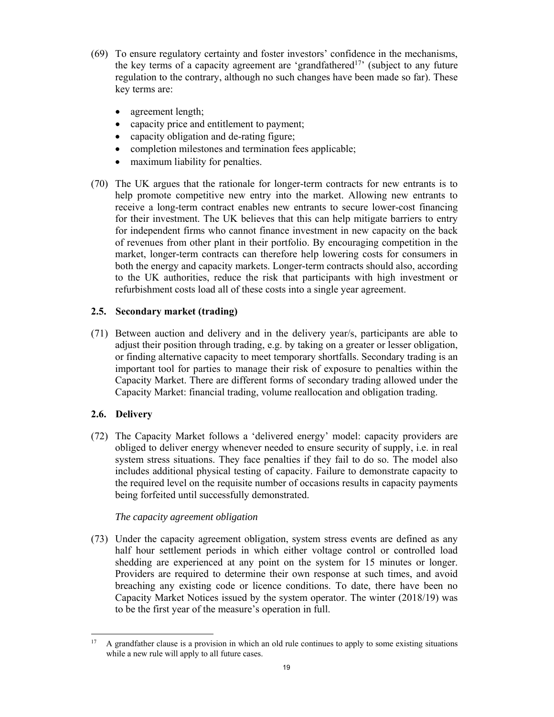- (69) To ensure regulatory certainty and foster investors' confidence in the mechanisms, the key terms of a capacity agreement are 'grandfathered17' (subject to any future regulation to the contrary, although no such changes have been made so far). These key terms are:
	- agreement length;
	- capacity price and entitlement to payment;
	- capacity obligation and de-rating figure;
	- completion milestones and termination fees applicable;
	- maximum liability for penalties.
- (70) The UK argues that the rationale for longer-term contracts for new entrants is to help promote competitive new entry into the market. Allowing new entrants to receive a long-term contract enables new entrants to secure lower-cost financing for their investment. The UK believes that this can help mitigate barriers to entry for independent firms who cannot finance investment in new capacity on the back of revenues from other plant in their portfolio. By encouraging competition in the market, longer-term contracts can therefore help lowering costs for consumers in both the energy and capacity markets. Longer-term contracts should also, according to the UK authorities, reduce the risk that participants with high investment or refurbishment costs load all of these costs into a single year agreement.

# **2.5. Secondary market (trading)**

(71) Between auction and delivery and in the delivery year/s, participants are able to adjust their position through trading, e.g. by taking on a greater or lesser obligation, or finding alternative capacity to meet temporary shortfalls. Secondary trading is an important tool for parties to manage their risk of exposure to penalties within the Capacity Market. There are different forms of secondary trading allowed under the Capacity Market: financial trading, volume reallocation and obligation trading.

# **2.6. Delivery**

(72) The Capacity Market follows a 'delivered energy' model: capacity providers are obliged to deliver energy whenever needed to ensure security of supply, i.e. in real system stress situations. They face penalties if they fail to do so. The model also includes additional physical testing of capacity. Failure to demonstrate capacity to the required level on the requisite number of occasions results in capacity payments being forfeited until successfully demonstrated.

# *The capacity agreement obligation*

(73) Under the capacity agreement obligation, system stress events are defined as any half hour settlement periods in which either voltage control or controlled load shedding are experienced at any point on the system for 15 minutes or longer. Providers are required to determine their own response at such times, and avoid breaching any existing code or licence conditions. To date, there have been no Capacity Market Notices issued by the system operator. The winter (2018/19) was to be the first year of the measure's operation in full.

 $\overline{a}$ <sup>17</sup> A grandfather clause is a provision in which an old rule continues to apply to some existing situations while a new rule will apply to all future cases.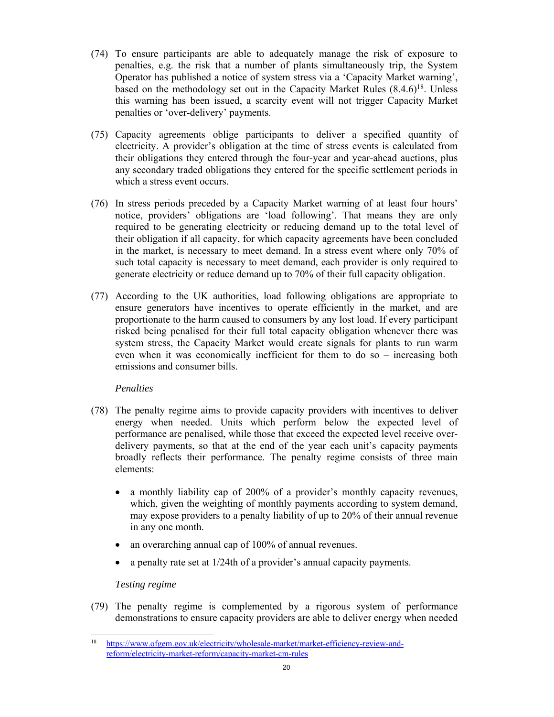- (74) To ensure participants are able to adequately manage the risk of exposure to penalties, e.g. the risk that a number of plants simultaneously trip, the System Operator has published a notice of system stress via a 'Capacity Market warning', based on the methodology set out in the Capacity Market Rules  $(8.4.6)^{18}$ . Unless this warning has been issued, a scarcity event will not trigger Capacity Market penalties or 'over-delivery' payments.
- (75) Capacity agreements oblige participants to deliver a specified quantity of electricity. A provider's obligation at the time of stress events is calculated from their obligations they entered through the four-year and year-ahead auctions, plus any secondary traded obligations they entered for the specific settlement periods in which a stress event occurs.
- (76) In stress periods preceded by a Capacity Market warning of at least four hours' notice, providers' obligations are 'load following'. That means they are only required to be generating electricity or reducing demand up to the total level of their obligation if all capacity, for which capacity agreements have been concluded in the market, is necessary to meet demand. In a stress event where only 70% of such total capacity is necessary to meet demand, each provider is only required to generate electricity or reduce demand up to 70% of their full capacity obligation.
- (77) According to the UK authorities, load following obligations are appropriate to ensure generators have incentives to operate efficiently in the market, and are proportionate to the harm caused to consumers by any lost load. If every participant risked being penalised for their full total capacity obligation whenever there was system stress, the Capacity Market would create signals for plants to run warm even when it was economically inefficient for them to do so – increasing both emissions and consumer bills.

# *Penalties*

- (78) The penalty regime aims to provide capacity providers with incentives to deliver energy when needed. Units which perform below the expected level of performance are penalised, while those that exceed the expected level receive overdelivery payments, so that at the end of the year each unit's capacity payments broadly reflects their performance. The penalty regime consists of three main elements:
	- a monthly liability cap of 200% of a provider's monthly capacity revenues, which, given the weighting of monthly payments according to system demand, may expose providers to a penalty liability of up to 20% of their annual revenue in any one month.
	- an overarching annual cap of 100% of annual revenues.
	- a penalty rate set at 1/24th of a provider's annual capacity payments.

## *Testing regime*

 $\overline{a}$ 

(79) The penalty regime is complemented by a rigorous system of performance demonstrations to ensure capacity providers are able to deliver energy when needed

<sup>18</sup> https://www.ofgem.gov.uk/electricity/wholesale-market/market-efficiency-review-andreform/electricity-market-reform/capacity-market-cm-rules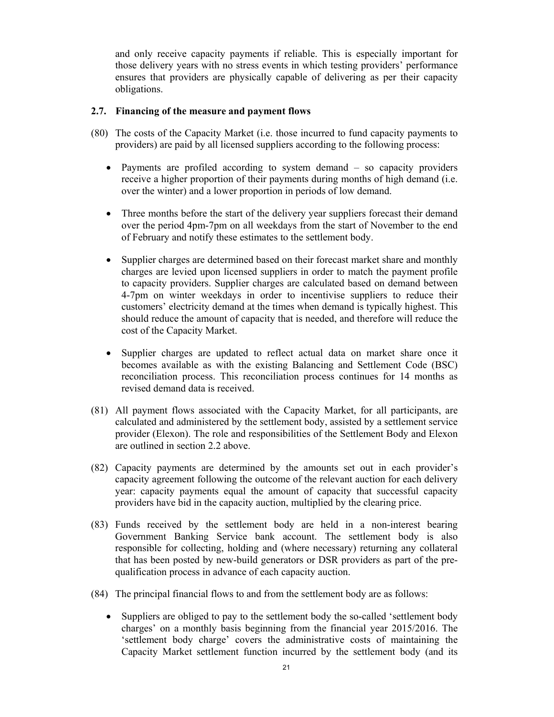and only receive capacity payments if reliable. This is especially important for those delivery years with no stress events in which testing providers' performance ensures that providers are physically capable of delivering as per their capacity obligations.

## **2.7. Financing of the measure and payment flows**

- (80) The costs of the Capacity Market (i.e. those incurred to fund capacity payments to providers) are paid by all licensed suppliers according to the following process:
	- Payments are profiled according to system demand so capacity providers receive a higher proportion of their payments during months of high demand (i.e. over the winter) and a lower proportion in periods of low demand.
	- Three months before the start of the delivery year suppliers forecast their demand over the period 4pm-7pm on all weekdays from the start of November to the end of February and notify these estimates to the settlement body.
	- Supplier charges are determined based on their forecast market share and monthly charges are levied upon licensed suppliers in order to match the payment profile to capacity providers. Supplier charges are calculated based on demand between 4-7pm on winter weekdays in order to incentivise suppliers to reduce their customers' electricity demand at the times when demand is typically highest. This should reduce the amount of capacity that is needed, and therefore will reduce the cost of the Capacity Market.
	- Supplier charges are updated to reflect actual data on market share once it becomes available as with the existing Balancing and Settlement Code (BSC) reconciliation process. This reconciliation process continues for 14 months as revised demand data is received.
- (81) All payment flows associated with the Capacity Market, for all participants, are calculated and administered by the settlement body, assisted by a settlement service provider (Elexon). The role and responsibilities of the Settlement Body and Elexon are outlined in section 2.2 above.
- (82) Capacity payments are determined by the amounts set out in each provider's capacity agreement following the outcome of the relevant auction for each delivery year: capacity payments equal the amount of capacity that successful capacity providers have bid in the capacity auction, multiplied by the clearing price.
- (83) Funds received by the settlement body are held in a non-interest bearing Government Banking Service bank account. The settlement body is also responsible for collecting, holding and (where necessary) returning any collateral that has been posted by new-build generators or DSR providers as part of the prequalification process in advance of each capacity auction.
- (84) The principal financial flows to and from the settlement body are as follows:
	- Suppliers are obliged to pay to the settlement body the so-called 'settlement body charges' on a monthly basis beginning from the financial year 2015/2016. The 'settlement body charge' covers the administrative costs of maintaining the Capacity Market settlement function incurred by the settlement body (and its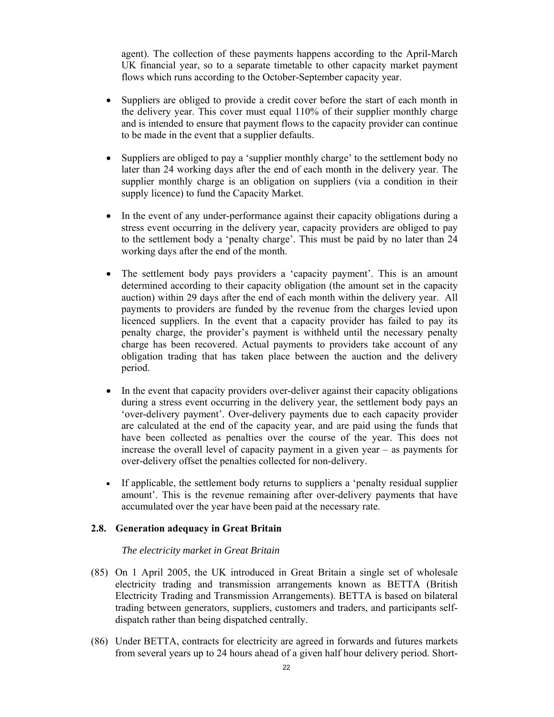agent). The collection of these payments happens according to the April-March UK financial year, so to a separate timetable to other capacity market payment flows which runs according to the October-September capacity year.

- Suppliers are obliged to provide a credit cover before the start of each month in the delivery year. This cover must equal 110% of their supplier monthly charge and is intended to ensure that payment flows to the capacity provider can continue to be made in the event that a supplier defaults.
- Suppliers are obliged to pay a 'supplier monthly charge' to the settlement body no later than 24 working days after the end of each month in the delivery year. The supplier monthly charge is an obligation on suppliers (via a condition in their supply licence) to fund the Capacity Market.
- In the event of any under-performance against their capacity obligations during a stress event occurring in the delivery year, capacity providers are obliged to pay to the settlement body a 'penalty charge'. This must be paid by no later than 24 working days after the end of the month.
- The settlement body pays providers a 'capacity payment'. This is an amount determined according to their capacity obligation (the amount set in the capacity auction) within 29 days after the end of each month within the delivery year. All payments to providers are funded by the revenue from the charges levied upon licenced suppliers. In the event that a capacity provider has failed to pay its penalty charge, the provider's payment is withheld until the necessary penalty charge has been recovered. Actual payments to providers take account of any obligation trading that has taken place between the auction and the delivery period.
- In the event that capacity providers over-deliver against their capacity obligations during a stress event occurring in the delivery year, the settlement body pays an 'over-delivery payment'. Over-delivery payments due to each capacity provider are calculated at the end of the capacity year, and are paid using the funds that have been collected as penalties over the course of the year. This does not increase the overall level of capacity payment in a given year – as payments for over-delivery offset the penalties collected for non-delivery.
- If applicable, the settlement body returns to suppliers a 'penalty residual supplier amount'. This is the revenue remaining after over-delivery payments that have accumulated over the year have been paid at the necessary rate.

### **2.8. Generation adequacy in Great Britain**

### *The electricity market in Great Britain*

- (85) On 1 April 2005, the UK introduced in Great Britain a single set of wholesale electricity trading and transmission arrangements known as BETTA (British Electricity Trading and Transmission Arrangements). BETTA is based on bilateral trading between generators, suppliers, customers and traders, and participants selfdispatch rather than being dispatched centrally.
- (86) Under BETTA, contracts for electricity are agreed in forwards and futures markets from several years up to 24 hours ahead of a given half hour delivery period. Short-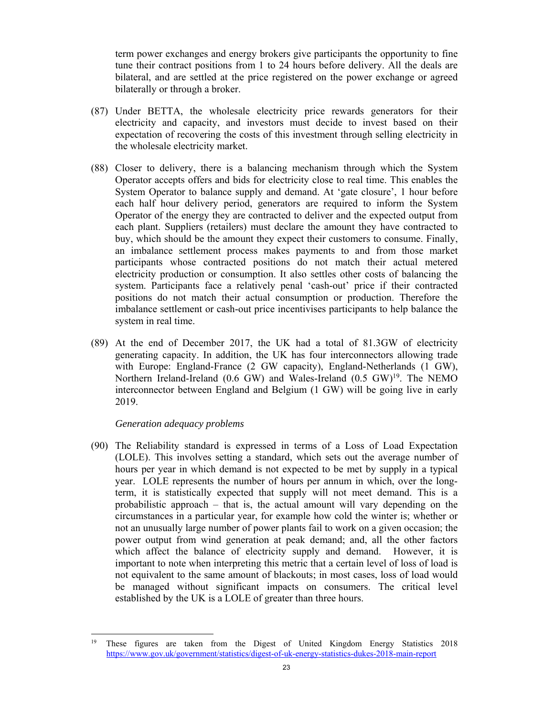term power exchanges and energy brokers give participants the opportunity to fine tune their contract positions from 1 to 24 hours before delivery. All the deals are bilateral, and are settled at the price registered on the power exchange or agreed bilaterally or through a broker.

- (87) Under BETTA, the wholesale electricity price rewards generators for their electricity and capacity, and investors must decide to invest based on their expectation of recovering the costs of this investment through selling electricity in the wholesale electricity market.
- (88) Closer to delivery, there is a balancing mechanism through which the System Operator accepts offers and bids for electricity close to real time. This enables the System Operator to balance supply and demand. At 'gate closure', 1 hour before each half hour delivery period, generators are required to inform the System Operator of the energy they are contracted to deliver and the expected output from each plant. Suppliers (retailers) must declare the amount they have contracted to buy, which should be the amount they expect their customers to consume. Finally, an imbalance settlement process makes payments to and from those market participants whose contracted positions do not match their actual metered electricity production or consumption. It also settles other costs of balancing the system. Participants face a relatively penal 'cash-out' price if their contracted positions do not match their actual consumption or production. Therefore the imbalance settlement or cash-out price incentivises participants to help balance the system in real time.
- (89) At the end of December 2017, the UK had a total of 81.3GW of electricity generating capacity. In addition, the UK has four interconnectors allowing trade with Europe: England-France (2 GW capacity), England-Netherlands (1 GW), Northern Ireland-Ireland (0.6 GW) and Wales-Ireland (0.5 GW)<sup>19</sup>. The NEMO interconnector between England and Belgium (1 GW) will be going live in early 2019.

### *Generation adequacy problems*

 $\overline{a}$ 

(90) The Reliability standard is expressed in terms of a Loss of Load Expectation (LOLE). This involves setting a standard, which sets out the average number of hours per year in which demand is not expected to be met by supply in a typical year. LOLE represents the number of hours per annum in which, over the longterm, it is statistically expected that supply will not meet demand. This is a probabilistic approach – that is, the actual amount will vary depending on the circumstances in a particular year, for example how cold the winter is; whether or not an unusually large number of power plants fail to work on a given occasion; the power output from wind generation at peak demand; and, all the other factors which affect the balance of electricity supply and demand. However, it is important to note when interpreting this metric that a certain level of loss of load is not equivalent to the same amount of blackouts; in most cases, loss of load would be managed without significant impacts on consumers. The critical level established by the UK is a LOLE of greater than three hours.

<sup>19</sup> These figures are taken from the Digest of United Kingdom Energy Statistics 2018 https://www.gov.uk/government/statistics/digest-of-uk-energy-statistics-dukes-2018-main-report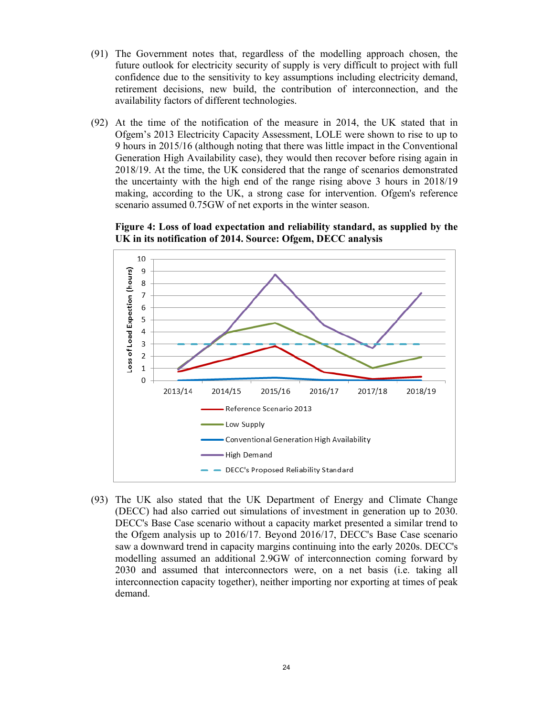- (91) The Government notes that, regardless of the modelling approach chosen, the future outlook for electricity security of supply is very difficult to project with full confidence due to the sensitivity to key assumptions including electricity demand, retirement decisions, new build, the contribution of interconnection, and the availability factors of different technologies.
- (92) At the time of the notification of the measure in 2014, the UK stated that in Ofgem's 2013 Electricity Capacity Assessment, LOLE were shown to rise to up to 9 hours in 2015/16 (although noting that there was little impact in the Conventional Generation High Availability case), they would then recover before rising again in 2018/19. At the time, the UK considered that the range of scenarios demonstrated the uncertainty with the high end of the range rising above 3 hours in 2018/19 making, according to the UK, a strong case for intervention. Ofgem's reference scenario assumed 0.75GW of net exports in the winter season.

10  $\overline{9}$ Loss of Load Expection (hours) 8  $\overline{7}$ 6 5 4 3  $\overline{2}$  $\mathbf{1}$  $\mathbf 0$ 2013/14 2018/19 2014/15 2015/16 2016/17 2017/18 Reference Scenario 2013 - Low Supply - Conventional Generation High Availability -High Demand - DECC's Proposed Reliability Standard



(93) The UK also stated that the UK Department of Energy and Climate Change (DECC) had also carried out simulations of investment in generation up to 2030. DECC's Base Case scenario without a capacity market presented a similar trend to the Ofgem analysis up to 2016/17. Beyond 2016/17, DECC's Base Case scenario saw a downward trend in capacity margins continuing into the early 2020s. DECC's modelling assumed an additional 2.9GW of interconnection coming forward by 2030 and assumed that interconnectors were, on a net basis (i.e. taking all interconnection capacity together), neither importing nor exporting at times of peak demand.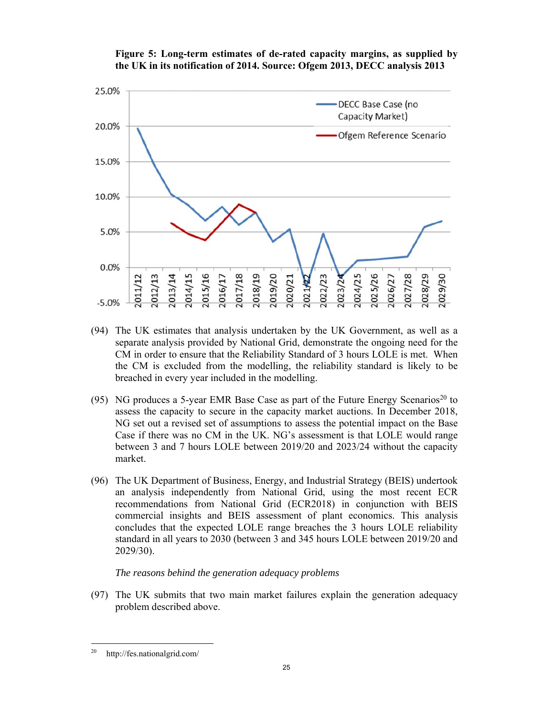



- (94) The UK estimates that analysis undertaken by the UK Government, as well as a separate analysis provided by National Grid, demonstrate the ongoing need for the CM in order to ensure that the Reliability Standard of 3 hours LOLE is met. When the CM is excluded from the modelling, the reliability standard is likely to be breached in every year included in the modelling.
- (95) NG produces a 5-year EMR Base Case as part of the Future Energy Scenarios<sup>20</sup> to assess the capacity to secure in the capacity market auctions. In December 2018, NG set out a revised set of assumptions to assess the potential impact on the Base Case if there was no CM in the UK. NG's assessment is that LOLE would range between 3 and 7 hours LOLE between 2019/20 and 2023/24 without the capacity market.
- (96) The UK Department of Business, Energy, and Industrial Strategy (BEIS) undertook an analysis independently from National Grid, using the most recent ECR recommendations from National Grid (ECR2018) in conjunction with BEIS commercial insights and BEIS assessment of plant economics. This analysis concludes that the expected LOLE range breaches the 3 hours LOLE reliability standard in all years to 2030 (between 3 and 345 hours LOLE between 2019/20 and 2029/30).

*The reasons behind the generation adequacy problems* 

(97) The UK submits that two main market failures explain the generation adequacy problem described above.

<sup>20</sup> http://fes.nationalgrid.com/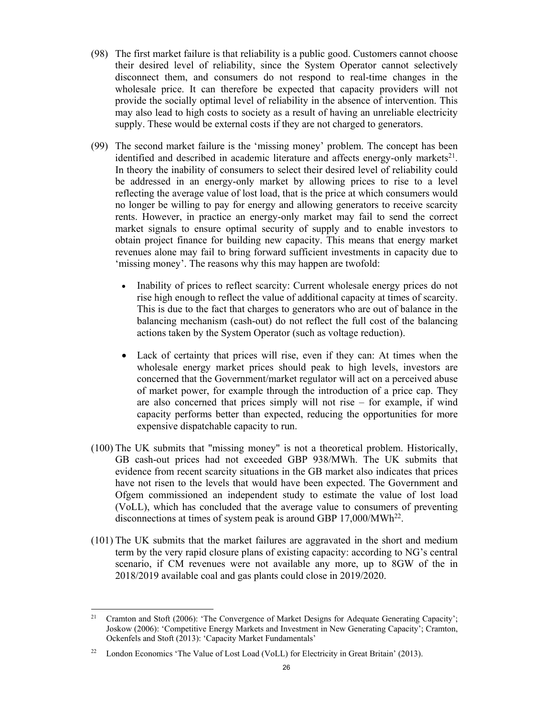- (98) The first market failure is that reliability is a public good. Customers cannot choose their desired level of reliability, since the System Operator cannot selectively disconnect them, and consumers do not respond to real-time changes in the wholesale price. It can therefore be expected that capacity providers will not provide the socially optimal level of reliability in the absence of intervention. This may also lead to high costs to society as a result of having an unreliable electricity supply. These would be external costs if they are not charged to generators.
- (99) The second market failure is the 'missing money' problem. The concept has been identified and described in academic literature and affects energy-only markets $21$ . In theory the inability of consumers to select their desired level of reliability could be addressed in an energy-only market by allowing prices to rise to a level reflecting the average value of lost load, that is the price at which consumers would no longer be willing to pay for energy and allowing generators to receive scarcity rents. However, in practice an energy-only market may fail to send the correct market signals to ensure optimal security of supply and to enable investors to obtain project finance for building new capacity. This means that energy market revenues alone may fail to bring forward sufficient investments in capacity due to 'missing money'. The reasons why this may happen are twofold:
	- Inability of prices to reflect scarcity: Current wholesale energy prices do not rise high enough to reflect the value of additional capacity at times of scarcity. This is due to the fact that charges to generators who are out of balance in the balancing mechanism (cash-out) do not reflect the full cost of the balancing actions taken by the System Operator (such as voltage reduction).
	- Lack of certainty that prices will rise, even if they can: At times when the wholesale energy market prices should peak to high levels, investors are concerned that the Government/market regulator will act on a perceived abuse of market power, for example through the introduction of a price cap. They are also concerned that prices simply will not rise – for example, if wind capacity performs better than expected, reducing the opportunities for more expensive dispatchable capacity to run.
- (100) The UK submits that "missing money" is not a theoretical problem. Historically, GB cash-out prices had not exceeded GBP 938/MWh. The UK submits that evidence from recent scarcity situations in the GB market also indicates that prices have not risen to the levels that would have been expected. The Government and Ofgem commissioned an independent study to estimate the value of lost load (VoLL), which has concluded that the average value to consumers of preventing disconnections at times of system peak is around GBP 17,000/MWh<sup>22</sup>.
- (101) The UK submits that the market failures are aggravated in the short and medium term by the very rapid closure plans of existing capacity: according to NG's central scenario, if CM revenues were not available any more, up to 8GW of the in 2018/2019 available coal and gas plants could close in 2019/2020.

 $\overline{a}$ <sup>21</sup> Cramton and Stoft (2006): 'The Convergence of Market Designs for Adequate Generating Capacity': Joskow (2006): 'Competitive Energy Markets and Investment in New Generating Capacity'; Cramton, Ockenfels and Stoft (2013): 'Capacity Market Fundamentals'

<sup>&</sup>lt;sup>22</sup> London Economics 'The Value of Lost Load (VoLL) for Electricity in Great Britain' (2013).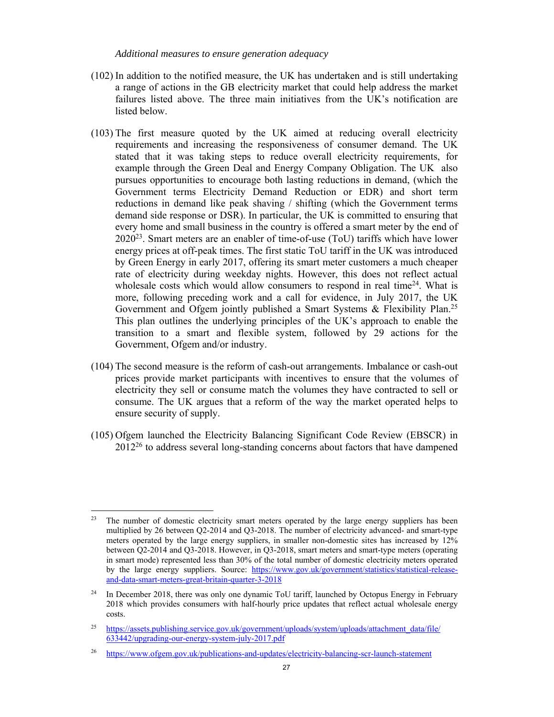#### *Additional measures to ensure generation adequacy*

- (102) In addition to the notified measure, the UK has undertaken and is still undertaking a range of actions in the GB electricity market that could help address the market failures listed above. The three main initiatives from the UK's notification are listed below.
- (103) The first measure quoted by the UK aimed at reducing overall electricity requirements and increasing the responsiveness of consumer demand. The UK stated that it was taking steps to reduce overall electricity requirements, for example through the Green Deal and Energy Company Obligation. The UK also pursues opportunities to encourage both lasting reductions in demand, (which the Government terms Electricity Demand Reduction or EDR) and short term reductions in demand like peak shaving / shifting (which the Government terms demand side response or DSR). In particular, the UK is committed to ensuring that every home and small business in the country is offered a smart meter by the end of 202023. Smart meters are an enabler of time-of-use (ToU) tariffs which have lower energy prices at off-peak times. The first static ToU tariff in the UK was introduced by Green Energy in early 2017, offering its smart meter customers a much cheaper rate of electricity during weekday nights. However, this does not reflect actual wholesale costs which would allow consumers to respond in real time<sup>24</sup>. What is more, following preceding work and a call for evidence, in July 2017, the UK Government and Ofgem jointly published a Smart Systems & Flexibility Plan.<sup>25</sup> This plan outlines the underlying principles of the UK's approach to enable the transition to a smart and flexible system, followed by 29 actions for the Government, Ofgem and/or industry.
- (104) The second measure is the reform of cash-out arrangements. Imbalance or cash-out prices provide market participants with incentives to ensure that the volumes of electricity they sell or consume match the volumes they have contracted to sell or consume. The UK argues that a reform of the way the market operated helps to ensure security of supply.
- (105) Ofgem launched the Electricity Balancing Significant Code Review (EBSCR) in  $2012^{26}$  to address several long-standing concerns about factors that have dampened

 <sup>23</sup> The number of domestic electricity smart meters operated by the large energy suppliers has been multiplied by 26 between Q2-2014 and Q3-2018. The number of electricity advanced- and smart-type meters operated by the large energy suppliers, in smaller non-domestic sites has increased by 12% between Q2-2014 and Q3-2018. However, in Q3-2018, smart meters and smart-type meters (operating in smart mode) represented less than 30% of the total number of domestic electricity meters operated by the large energy suppliers. Source: https://www.gov.uk/government/statistics/statistical-releaseand-data-smart-meters-great-britain-quarter-3-2018

<sup>&</sup>lt;sup>24</sup> In December 2018, there was only one dynamic ToU tariff, launched by Octopus Energy in February 2018 which provides consumers with half-hourly price updates that reflect actual wholesale energy costs.

<sup>&</sup>lt;sup>25</sup> https://assets.publishing.service.gov.uk/government/uploads/system/uploads/attachment\_data/file/ 633442/upgrading-our-energy-system-july-2017.pdf

<sup>26</sup> https://www.ofgem.gov.uk/publications-and-updates/electricity-balancing-scr-launch-statement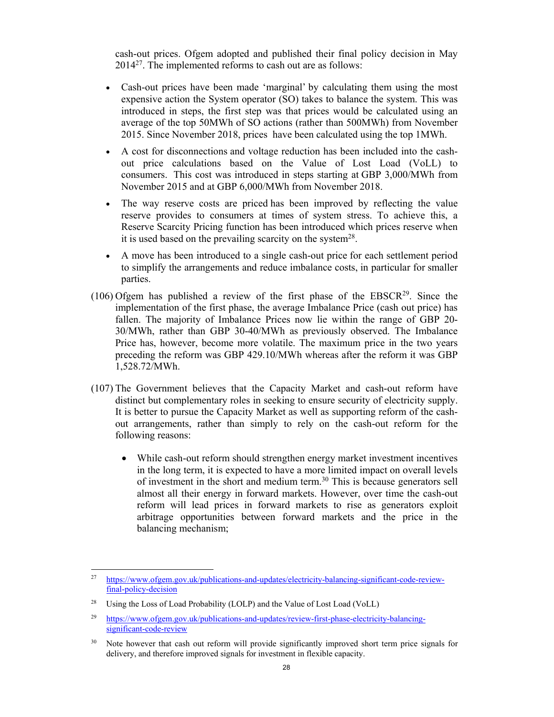cash-out prices. Ofgem adopted and published their final policy decision in May 201427. The implemented reforms to cash out are as follows:

- Cash-out prices have been made 'marginal' by calculating them using the most expensive action the System operator (SO) takes to balance the system. This was introduced in steps, the first step was that prices would be calculated using an average of the top 50MWh of SO actions (rather than 500MWh) from November 2015. Since November 2018, prices have been calculated using the top 1MWh.
- A cost for disconnections and voltage reduction has been included into the cashout price calculations based on the Value of Lost Load (VoLL) to consumers. This cost was introduced in steps starting at GBP 3,000/MWh from November 2015 and at GBP 6,000/MWh from November 2018.
- The way reserve costs are priced has been improved by reflecting the value reserve provides to consumers at times of system stress. To achieve this, a Reserve Scarcity Pricing function has been introduced which prices reserve when it is used based on the prevailing scarcity on the system $^{28}$ .
- A move has been introduced to a single cash-out price for each settlement period to simplify the arrangements and reduce imbalance costs, in particular for smaller parties.
- (106) Ofgem has published a review of the first phase of the  $EBSCR<sup>29</sup>$ . Since the implementation of the first phase, the average Imbalance Price (cash out price) has fallen. The majority of Imbalance Prices now lie within the range of GBP 20- 30/MWh, rather than GBP 30-40/MWh as previously observed. The Imbalance Price has, however, become more volatile. The maximum price in the two years preceding the reform was GBP 429.10/MWh whereas after the reform it was GBP 1,528.72/MWh.
- (107) The Government believes that the Capacity Market and cash-out reform have distinct but complementary roles in seeking to ensure security of electricity supply. It is better to pursue the Capacity Market as well as supporting reform of the cashout arrangements, rather than simply to rely on the cash-out reform for the following reasons:
	- While cash-out reform should strengthen energy market investment incentives in the long term, it is expected to have a more limited impact on overall levels of investment in the short and medium term. $30$  This is because generators sell almost all their energy in forward markets. However, over time the cash-out reform will lead prices in forward markets to rise as generators exploit arbitrage opportunities between forward markets and the price in the balancing mechanism;

<sup>27</sup> 27 https://www.ofgem.gov.uk/publications-and-updates/electricity-balancing-significant-code-reviewfinal-policy-decision

<sup>&</sup>lt;sup>28</sup> Using the Loss of Load Probability (LOLP) and the Value of Lost Load (VoLL)

<sup>29</sup> https://www.ofgem.gov.uk/publications-and-updates/review-first-phase-electricity-balancingsignificant-code-review

<sup>&</sup>lt;sup>30</sup> Note however that cash out reform will provide significantly improved short term price signals for delivery, and therefore improved signals for investment in flexible capacity.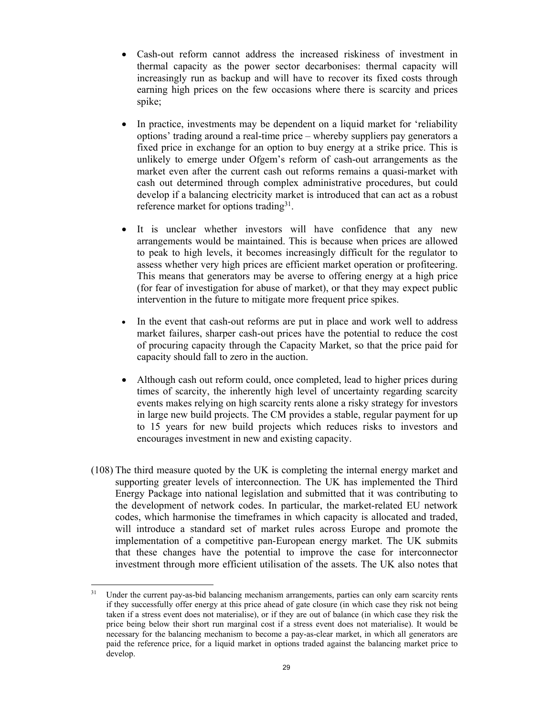- Cash-out reform cannot address the increased riskiness of investment in thermal capacity as the power sector decarbonises: thermal capacity will increasingly run as backup and will have to recover its fixed costs through earning high prices on the few occasions where there is scarcity and prices spike;
- In practice, investments may be dependent on a liquid market for 'reliability options' trading around a real-time price – whereby suppliers pay generators a fixed price in exchange for an option to buy energy at a strike price. This is unlikely to emerge under Ofgem's reform of cash-out arrangements as the market even after the current cash out reforms remains a quasi-market with cash out determined through complex administrative procedures, but could develop if a balancing electricity market is introduced that can act as a robust reference market for options trading<sup>31</sup>.
- It is unclear whether investors will have confidence that any new arrangements would be maintained. This is because when prices are allowed to peak to high levels, it becomes increasingly difficult for the regulator to assess whether very high prices are efficient market operation or profiteering. This means that generators may be averse to offering energy at a high price (for fear of investigation for abuse of market), or that they may expect public intervention in the future to mitigate more frequent price spikes.
- In the event that cash-out reforms are put in place and work well to address market failures, sharper cash-out prices have the potential to reduce the cost of procuring capacity through the Capacity Market, so that the price paid for capacity should fall to zero in the auction.
- Although cash out reform could, once completed, lead to higher prices during times of scarcity, the inherently high level of uncertainty regarding scarcity events makes relying on high scarcity rents alone a risky strategy for investors in large new build projects. The CM provides a stable, regular payment for up to 15 years for new build projects which reduces risks to investors and encourages investment in new and existing capacity.
- (108) The third measure quoted by the UK is completing the internal energy market and supporting greater levels of interconnection. The UK has implemented the Third Energy Package into national legislation and submitted that it was contributing to the development of network codes. In particular, the market-related EU network codes, which harmonise the timeframes in which capacity is allocated and traded, will introduce a standard set of market rules across Europe and promote the implementation of a competitive pan-European energy market. The UK submits that these changes have the potential to improve the case for interconnector investment through more efficient utilisation of the assets. The UK also notes that

 $\overline{a}$ 

<sup>&</sup>lt;sup>31</sup> Under the current pay-as-bid balancing mechanism arrangements, parties can only earn scarcity rents if they successfully offer energy at this price ahead of gate closure (in which case they risk not being taken if a stress event does not materialise), or if they are out of balance (in which case they risk the price being below their short run marginal cost if a stress event does not materialise). It would be necessary for the balancing mechanism to become a pay-as-clear market, in which all generators are paid the reference price, for a liquid market in options traded against the balancing market price to develop.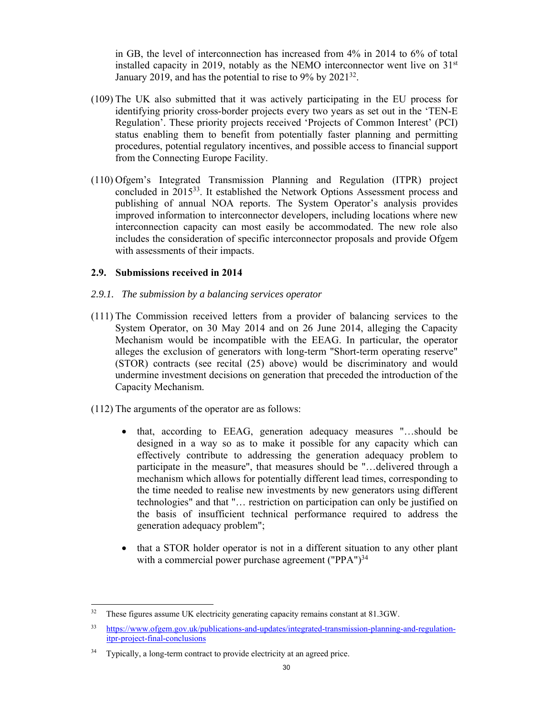in GB, the level of interconnection has increased from 4% in 2014 to 6% of total installed capacity in 2019, notably as the NEMO interconnector went live on  $31<sup>st</sup>$ January 2019, and has the potential to rise to 9% by 2021<sup>32</sup>.

- (109) The UK also submitted that it was actively participating in the EU process for identifying priority cross-border projects every two years as set out in the 'TEN-E Regulation'. These priority projects received 'Projects of Common Interest' (PCI) status enabling them to benefit from potentially faster planning and permitting procedures, potential regulatory incentives, and possible access to financial support from the Connecting Europe Facility.
- (110) Ofgem's Integrated Transmission Planning and Regulation (ITPR) project concluded in 201533. It established the Network Options Assessment process and publishing of annual NOA reports. The System Operator's analysis provides improved information to interconnector developers, including locations where new interconnection capacity can most easily be accommodated. The new role also includes the consideration of specific interconnector proposals and provide Ofgem with assessments of their impacts.

### **2.9. Submissions received in 2014**

### *2.9.1. The submission by a balancing services operator*

- (111) The Commission received letters from a provider of balancing services to the System Operator, on 30 May 2014 and on 26 June 2014, alleging the Capacity Mechanism would be incompatible with the EEAG. In particular, the operator alleges the exclusion of generators with long-term "Short-term operating reserve" (STOR) contracts (see recital (25) above) would be discriminatory and would undermine investment decisions on generation that preceded the introduction of the Capacity Mechanism.
- (112) The arguments of the operator are as follows:
	- that, according to EEAG, generation adequacy measures "...should be designed in a way so as to make it possible for any capacity which can effectively contribute to addressing the generation adequacy problem to participate in the measure", that measures should be "…delivered through a mechanism which allows for potentially different lead times, corresponding to the time needed to realise new investments by new generators using different technologies" and that "… restriction on participation can only be justified on the basis of insufficient technical performance required to address the generation adequacy problem";
	- that a STOR holder operator is not in a different situation to any other plant with a commercial power purchase agreement ("PPA")<sup>34</sup>

 $\overline{a}$ <sup>32</sup> These figures assume UK electricity generating capacity remains constant at 81.3GW.

<sup>33</sup> https://www.ofgem.gov.uk/publications-and-updates/integrated-transmission-planning-and-regulationitpr-project-final-conclusions

<sup>&</sup>lt;sup>34</sup> Typically, a long-term contract to provide electricity at an agreed price.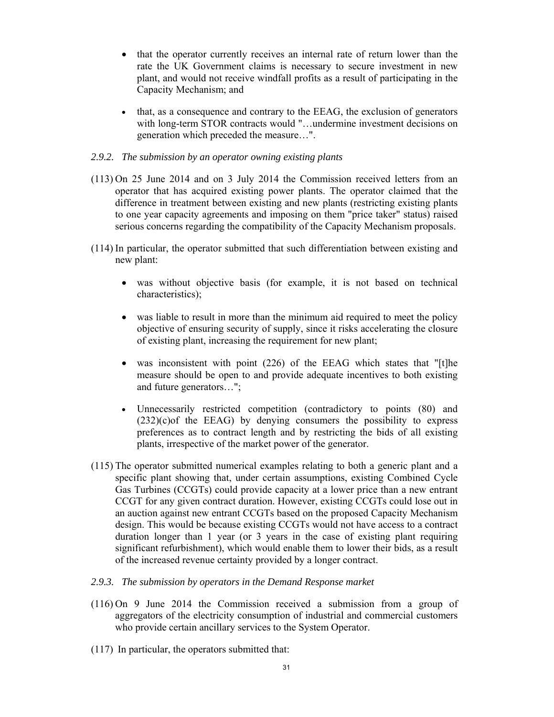- that the operator currently receives an internal rate of return lower than the rate the UK Government claims is necessary to secure investment in new plant, and would not receive windfall profits as a result of participating in the Capacity Mechanism; and
- that, as a consequence and contrary to the EEAG, the exclusion of generators with long-term STOR contracts would "…undermine investment decisions on generation which preceded the measure…".

### *2.9.2. The submission by an operator owning existing plants*

- (113) On 25 June 2014 and on 3 July 2014 the Commission received letters from an operator that has acquired existing power plants. The operator claimed that the difference in treatment between existing and new plants (restricting existing plants to one year capacity agreements and imposing on them "price taker" status) raised serious concerns regarding the compatibility of the Capacity Mechanism proposals.
- (114) In particular, the operator submitted that such differentiation between existing and new plant:
	- was without objective basis (for example, it is not based on technical characteristics);
	- was liable to result in more than the minimum aid required to meet the policy objective of ensuring security of supply, since it risks accelerating the closure of existing plant, increasing the requirement for new plant;
	- was inconsistent with point (226) of the EEAG which states that "[t]he measure should be open to and provide adequate incentives to both existing and future generators…";
	- Unnecessarily restricted competition (contradictory to points (80) and  $(232)(c)$ of the EEAG) by denying consumers the possibility to express preferences as to contract length and by restricting the bids of all existing plants, irrespective of the market power of the generator.
- (115) The operator submitted numerical examples relating to both a generic plant and a specific plant showing that, under certain assumptions, existing Combined Cycle Gas Turbines (CCGTs) could provide capacity at a lower price than a new entrant CCGT for any given contract duration. However, existing CCGTs could lose out in an auction against new entrant CCGTs based on the proposed Capacity Mechanism design. This would be because existing CCGTs would not have access to a contract duration longer than 1 year (or 3 years in the case of existing plant requiring significant refurbishment), which would enable them to lower their bids, as a result of the increased revenue certainty provided by a longer contract.
- *2.9.3. The submission by operators in the Demand Response market*
- (116) On 9 June 2014 the Commission received a submission from a group of aggregators of the electricity consumption of industrial and commercial customers who provide certain ancillary services to the System Operator.
- (117) In particular, the operators submitted that: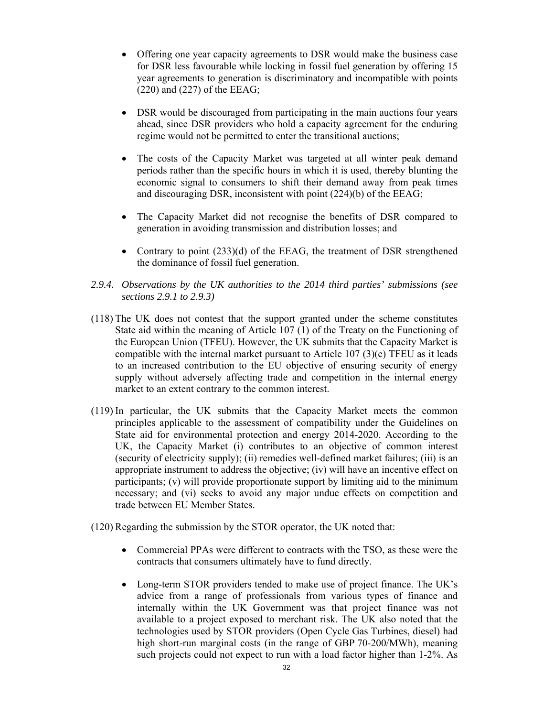- Offering one year capacity agreements to DSR would make the business case for DSR less favourable while locking in fossil fuel generation by offering 15 year agreements to generation is discriminatory and incompatible with points (220) and (227) of the EEAG;
- DSR would be discouraged from participating in the main auctions four years ahead, since DSR providers who hold a capacity agreement for the enduring regime would not be permitted to enter the transitional auctions;
- The costs of the Capacity Market was targeted at all winter peak demand periods rather than the specific hours in which it is used, thereby blunting the economic signal to consumers to shift their demand away from peak times and discouraging DSR, inconsistent with point (224)(b) of the EEAG;
- The Capacity Market did not recognise the benefits of DSR compared to generation in avoiding transmission and distribution losses; and
- Contrary to point (233)(d) of the EEAG, the treatment of DSR strengthened the dominance of fossil fuel generation.
- *2.9.4. Observations by the UK authorities to the 2014 third parties' submissions (see sections 2.9.1 to 2.9.3)*
- (118) The UK does not contest that the support granted under the scheme constitutes State aid within the meaning of Article 107 (1) of the Treaty on the Functioning of the European Union (TFEU). However, the UK submits that the Capacity Market is compatible with the internal market pursuant to Article 107 (3)(c) TFEU as it leads to an increased contribution to the EU objective of ensuring security of energy supply without adversely affecting trade and competition in the internal energy market to an extent contrary to the common interest.
- (119) In particular, the UK submits that the Capacity Market meets the common principles applicable to the assessment of compatibility under the Guidelines on State aid for environmental protection and energy 2014-2020. According to the UK, the Capacity Market (i) contributes to an objective of common interest (security of electricity supply); (ii) remedies well-defined market failures; (iii) is an appropriate instrument to address the objective; (iv) will have an incentive effect on participants; (v) will provide proportionate support by limiting aid to the minimum necessary; and (vi) seeks to avoid any major undue effects on competition and trade between EU Member States.
- (120) Regarding the submission by the STOR operator, the UK noted that:
	- Commercial PPAs were different to contracts with the TSO, as these were the contracts that consumers ultimately have to fund directly.
	- Long-term STOR providers tended to make use of project finance. The UK's advice from a range of professionals from various types of finance and internally within the UK Government was that project finance was not available to a project exposed to merchant risk. The UK also noted that the technologies used by STOR providers (Open Cycle Gas Turbines, diesel) had high short-run marginal costs (in the range of GBP 70-200/MWh), meaning such projects could not expect to run with a load factor higher than 1-2%. As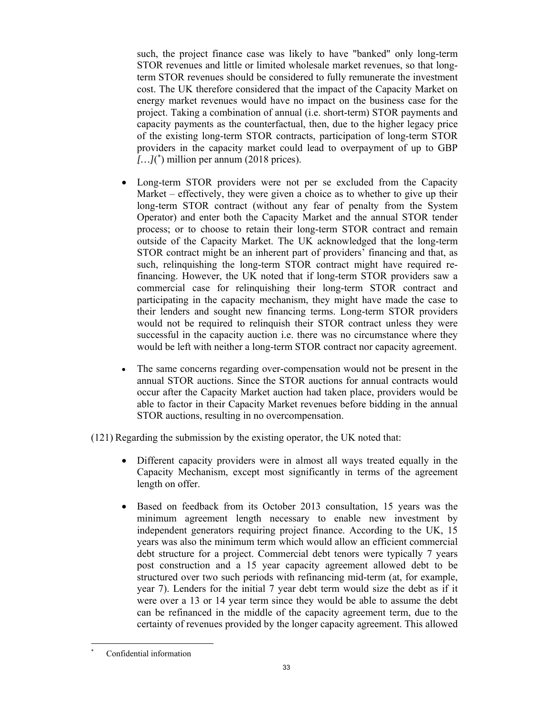such, the project finance case was likely to have "banked" only long-term STOR revenues and little or limited wholesale market revenues, so that longterm STOR revenues should be considered to fully remunerate the investment cost. The UK therefore considered that the impact of the Capacity Market on energy market revenues would have no impact on the business case for the project. Taking a combination of annual (i.e. short-term) STOR payments and capacity payments as the counterfactual, then, due to the higher legacy price of the existing long-term STOR contracts, participation of long-term STOR providers in the capacity market could lead to overpayment of up to GBP  $[...]$ <sup>\*</sup>) million per annum (2018 prices).

- Long-term STOR providers were not per se excluded from the Capacity Market – effectively, they were given a choice as to whether to give up their long-term STOR contract (without any fear of penalty from the System Operator) and enter both the Capacity Market and the annual STOR tender process; or to choose to retain their long-term STOR contract and remain outside of the Capacity Market. The UK acknowledged that the long-term STOR contract might be an inherent part of providers' financing and that, as such, relinquishing the long-term STOR contract might have required refinancing. However, the UK noted that if long-term STOR providers saw a commercial case for relinquishing their long-term STOR contract and participating in the capacity mechanism, they might have made the case to their lenders and sought new financing terms. Long-term STOR providers would not be required to relinquish their STOR contract unless they were successful in the capacity auction i.e. there was no circumstance where they would be left with neither a long-term STOR contract nor capacity agreement.
- The same concerns regarding over-compensation would not be present in the annual STOR auctions. Since the STOR auctions for annual contracts would occur after the Capacity Market auction had taken place, providers would be able to factor in their Capacity Market revenues before bidding in the annual STOR auctions, resulting in no overcompensation.

(121) Regarding the submission by the existing operator, the UK noted that:

- Different capacity providers were in almost all ways treated equally in the Capacity Mechanism, except most significantly in terms of the agreement length on offer.
- Based on feedback from its October 2013 consultation, 15 years was the minimum agreement length necessary to enable new investment by independent generators requiring project finance. According to the UK, 15 years was also the minimum term which would allow an efficient commercial debt structure for a project. Commercial debt tenors were typically 7 years post construction and a 15 year capacity agreement allowed debt to be structured over two such periods with refinancing mid-term (at, for example, year 7). Lenders for the initial 7 year debt term would size the debt as if it were over a 13 or 14 year term since they would be able to assume the debt can be refinanced in the middle of the capacity agreement term, due to the certainty of revenues provided by the longer capacity agreement. This allowed

 $\overline{a}$ \* Confidential information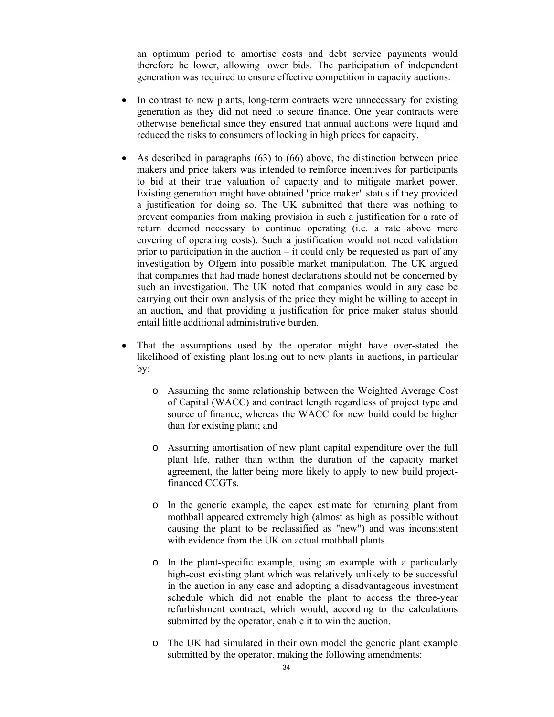an optimum period to amortise costs and debt service payments would therefore be lower, allowing lower bids. The participation of independent generation was required to ensure effective competition in capacity auctions.

- In contrast to new plants, long-term contracts were unnecessary for existing generation as they did not need to secure finance. One year contracts were otherwise beneficial since they ensured that annual auctions were liquid and reduced the risks to consumers of locking in high prices for capacity.
- As described in paragraphs (63) to (66) above, the distinction between price makers and price takers was intended to reinforce incentives for participants to bid at their true valuation of capacity and to mitigate market power. Existing generation might have obtained "price maker" status if they provided a justification for doing so. The UK submitted that there was nothing to prevent companies from making provision in such a justification for a rate of return deemed necessary to continue operating (i.e. a rate above mere covering of operating costs). Such a justification would not need validation prior to participation in the auction  $-$  it could only be requested as part of any investigation by Ofgem into possible market manipulation. The UK argued that companies that had made honest declarations should not be concerned by such an investigation. The UK noted that companies would in any case be carrying out their own analysis of the price they might be willing to accept in an auction, and that providing a justification for price maker status should entail little additional administrative burden.
- That the assumptions used by the operator might have over-stated the likelihood of existing plant losing out to new plants in auctions, in particular by:
	- o Assuming the same relationship between the Weighted Average Cost of Capital (WACC) and contract length regardless of project type and source of finance, whereas the WACC for new build could be higher than for existing plant; and
	- o Assuming amortisation of new plant capital expenditure over the full plant life, rather than within the duration of the capacity market agreement, the latter being more likely to apply to new build projectfinanced CCGTs.
	- o In the generic example, the capex estimate for returning plant from mothball appeared extremely high (almost as high as possible without causing the plant to be reclassified as "new") and was inconsistent with evidence from the UK on actual mothball plants.
	- o In the plant-specific example, using an example with a particularly high-cost existing plant which was relatively unlikely to be successful in the auction in any case and adopting a disadvantageous investment schedule which did not enable the plant to access the three-year refurbishment contract, which would, according to the calculations submitted by the operator, enable it to win the auction.
	- o The UK had simulated in their own model the generic plant example submitted by the operator, making the following amendments: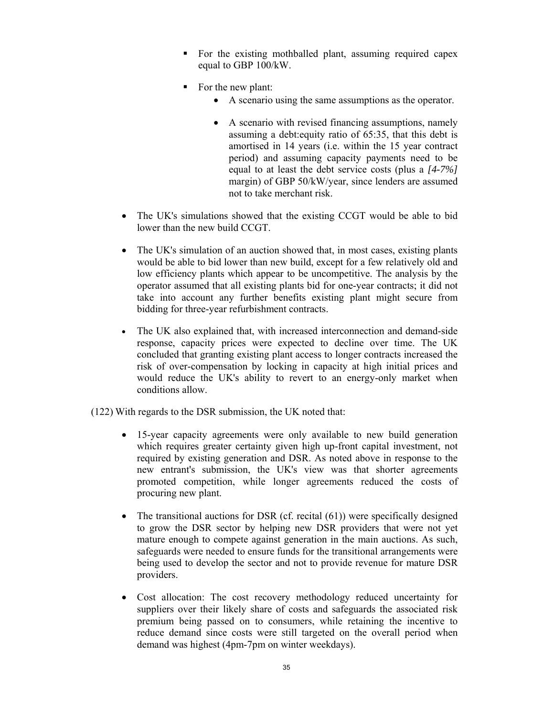- For the existing mothballed plant, assuming required capex equal to GBP 100/kW.
- For the new plant:
	- A scenario using the same assumptions as the operator.
	- A scenario with revised financing assumptions, namely assuming a debt:equity ratio of 65:35, that this debt is amortised in 14 years (i.e. within the 15 year contract period) and assuming capacity payments need to be equal to at least the debt service costs (plus a *[4-7%]* margin) of GBP 50/kW/year, since lenders are assumed not to take merchant risk.
- The UK's simulations showed that the existing CCGT would be able to bid lower than the new build CCGT.
- The UK's simulation of an auction showed that, in most cases, existing plants would be able to bid lower than new build, except for a few relatively old and low efficiency plants which appear to be uncompetitive. The analysis by the operator assumed that all existing plants bid for one-year contracts; it did not take into account any further benefits existing plant might secure from bidding for three-year refurbishment contracts.
- The UK also explained that, with increased interconnection and demand-side response, capacity prices were expected to decline over time. The UK concluded that granting existing plant access to longer contracts increased the risk of over-compensation by locking in capacity at high initial prices and would reduce the UK's ability to revert to an energy-only market when conditions allow.
- (122) With regards to the DSR submission, the UK noted that:
	- 15-year capacity agreements were only available to new build generation which requires greater certainty given high up-front capital investment, not required by existing generation and DSR. As noted above in response to the new entrant's submission, the UK's view was that shorter agreements promoted competition, while longer agreements reduced the costs of procuring new plant.
	- The transitional auctions for DSR (cf. recital (61)) were specifically designed to grow the DSR sector by helping new DSR providers that were not yet mature enough to compete against generation in the main auctions. As such, safeguards were needed to ensure funds for the transitional arrangements were being used to develop the sector and not to provide revenue for mature DSR providers.
	- Cost allocation: The cost recovery methodology reduced uncertainty for suppliers over their likely share of costs and safeguards the associated risk premium being passed on to consumers, while retaining the incentive to reduce demand since costs were still targeted on the overall period when demand was highest (4pm-7pm on winter weekdays).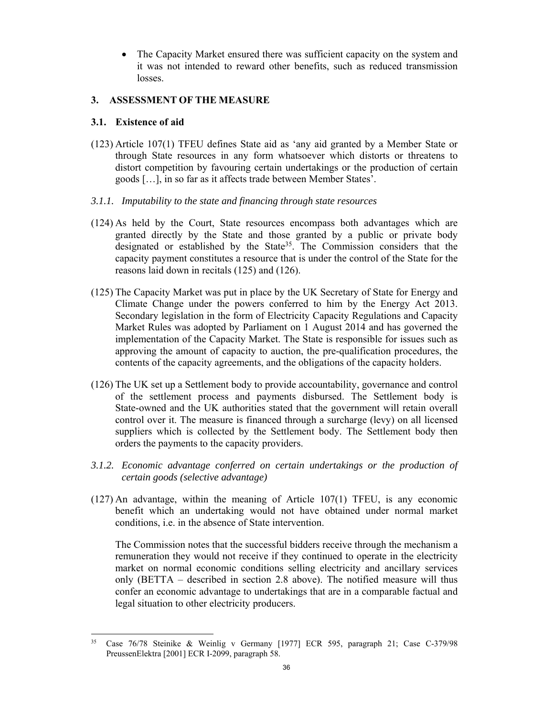• The Capacity Market ensured there was sufficient capacity on the system and it was not intended to reward other benefits, such as reduced transmission losses.

# **3. ASSESSMENT OF THE MEASURE**

## **3.1. Existence of aid**

- (123) Article 107(1) TFEU defines State aid as 'any aid granted by a Member State or through State resources in any form whatsoever which distorts or threatens to distort competition by favouring certain undertakings or the production of certain goods […], in so far as it affects trade between Member States'.
- *3.1.1. Imputability to the state and financing through state resources*
- (124) As held by the Court, State resources encompass both advantages which are granted directly by the State and those granted by a public or private body designated or established by the State<sup>35</sup>. The Commission considers that the capacity payment constitutes a resource that is under the control of the State for the reasons laid down in recitals (125) and (126).
- (125) The Capacity Market was put in place by the UK Secretary of State for Energy and Climate Change under the powers conferred to him by the Energy Act 2013. Secondary legislation in the form of Electricity Capacity Regulations and Capacity Market Rules was adopted by Parliament on 1 August 2014 and has governed the implementation of the Capacity Market. The State is responsible for issues such as approving the amount of capacity to auction, the pre-qualification procedures, the contents of the capacity agreements, and the obligations of the capacity holders.
- (126) The UK set up a Settlement body to provide accountability, governance and control of the settlement process and payments disbursed. The Settlement body is State-owned and the UK authorities stated that the government will retain overall control over it. The measure is financed through a surcharge (levy) on all licensed suppliers which is collected by the Settlement body. The Settlement body then orders the payments to the capacity providers.
- *3.1.2. Economic advantage conferred on certain undertakings or the production of certain goods (selective advantage)*
- (127) An advantage, within the meaning of Article 107(1) TFEU, is any economic benefit which an undertaking would not have obtained under normal market conditions, i.e. in the absence of State intervention.

The Commission notes that the successful bidders receive through the mechanism a remuneration they would not receive if they continued to operate in the electricity market on normal economic conditions selling electricity and ancillary services only (BETTA – described in section 2.8 above). The notified measure will thus confer an economic advantage to undertakings that are in a comparable factual and legal situation to other electricity producers.

 $\overline{a}$ 35 Case 76/78 Steinike & Weinlig v Germany [1977] ECR 595, paragraph 21; Case C-379/98 PreussenElektra [2001] ECR I-2099, paragraph 58.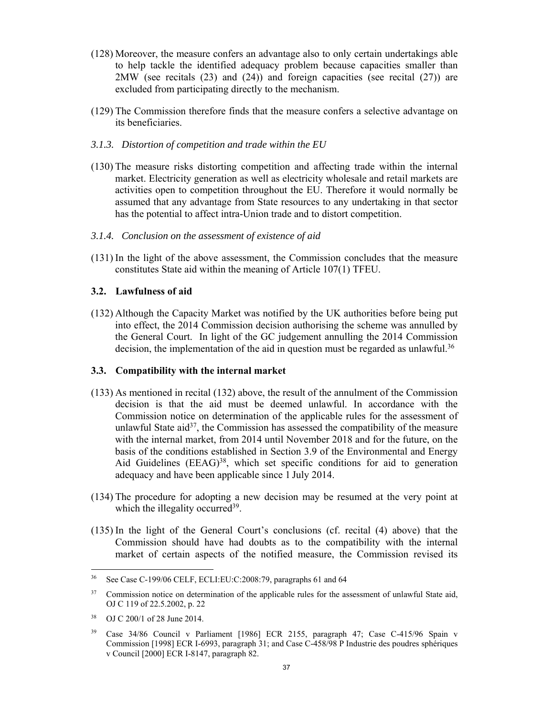- (128) Moreover, the measure confers an advantage also to only certain undertakings able to help tackle the identified adequacy problem because capacities smaller than 2MW (see recitals (23) and (24)) and foreign capacities (see recital (27)) are excluded from participating directly to the mechanism.
- (129) The Commission therefore finds that the measure confers a selective advantage on its beneficiaries.
- *3.1.3. Distortion of competition and trade within the EU*
- (130) The measure risks distorting competition and affecting trade within the internal market. Electricity generation as well as electricity wholesale and retail markets are activities open to competition throughout the EU. Therefore it would normally be assumed that any advantage from State resources to any undertaking in that sector has the potential to affect intra-Union trade and to distort competition.
- *3.1.4. Conclusion on the assessment of existence of aid*
- (131) In the light of the above assessment, the Commission concludes that the measure constitutes State aid within the meaning of Article 107(1) TFEU.

### **3.2. Lawfulness of aid**

(132) Although the Capacity Market was notified by the UK authorities before being put into effect, the 2014 Commission decision authorising the scheme was annulled by the General Court. In light of the GC judgement annulling the 2014 Commission decision, the implementation of the aid in question must be regarded as unlawful.<sup>36</sup>

#### **3.3. Compatibility with the internal market**

- (133) As mentioned in recital (132) above, the result of the annulment of the Commission decision is that the aid must be deemed unlawful. In accordance with the Commission notice on determination of the applicable rules for the assessment of unlawful State aid<sup>37</sup>, the Commission has assessed the compatibility of the measure with the internal market, from 2014 until November 2018 and for the future, on the basis of the conditions established in Section 3.9 of the Environmental and Energy Aid Guidelines (EEAG)<sup>38</sup>, which set specific conditions for aid to generation adequacy and have been applicable since 1 July 2014.
- (134) The procedure for adopting a new decision may be resumed at the very point at which the illegality occurred<sup>39</sup>.
- (135) In the light of the General Court's conclusions (cf. recital (4) above) that the Commission should have had doubts as to the compatibility with the internal market of certain aspects of the notified measure, the Commission revised its

<sup>36</sup> See Case C-199/06 CELF, ECLI:EU:C:2008:79, paragraphs 61 and 64

<sup>&</sup>lt;sup>37</sup> Commission notice on determination of the applicable rules for the assessment of unlawful State aid, OJ C 119 of 22.5.2002, p. 22

<sup>38</sup> OJ C 200/1 of 28 June 2014.

<sup>39</sup> Case 34/86 Council v Parliament [1986] ECR 2155, paragraph 47; Case C-415/96 Spain v Commission [1998] ECR I-6993, paragraph 31; and Case C-458/98 P Industrie des poudres sphériques v Council [2000] ECR I-8147, paragraph 82.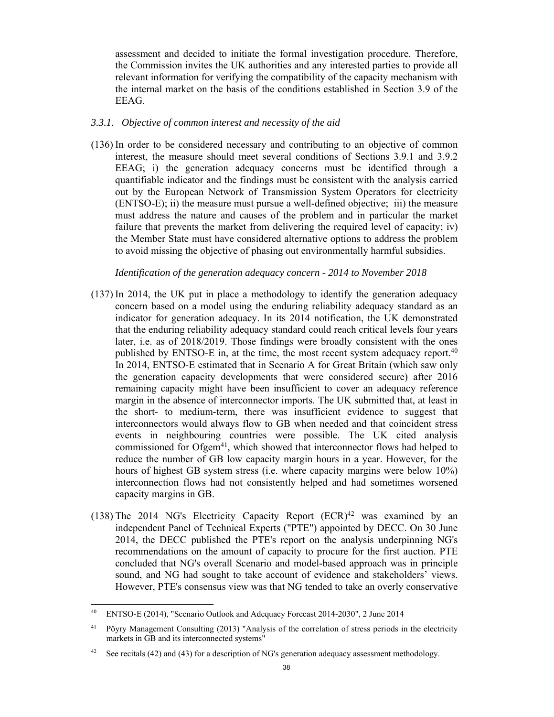assessment and decided to initiate the formal investigation procedure. Therefore, the Commission invites the UK authorities and any interested parties to provide all relevant information for verifying the compatibility of the capacity mechanism with the internal market on the basis of the conditions established in Section 3.9 of the EEAG.

#### *3.3.1. Objective of common interest and necessity of the aid*

(136) In order to be considered necessary and contributing to an objective of common interest, the measure should meet several conditions of Sections 3.9.1 and 3.9.2 EEAG; i) the generation adequacy concerns must be identified through a quantifiable indicator and the findings must be consistent with the analysis carried out by the European Network of Transmission System Operators for electricity (ENTSO-E); ii) the measure must pursue a well-defined objective; iii) the measure must address the nature and causes of the problem and in particular the market failure that prevents the market from delivering the required level of capacity; iv) the Member State must have considered alternative options to address the problem to avoid missing the objective of phasing out environmentally harmful subsidies.

#### *Identification of the generation adequacy concern - 2014 to November 2018*

- (137) In 2014, the UK put in place a methodology to identify the generation adequacy concern based on a model using the enduring reliability adequacy standard as an indicator for generation adequacy. In its 2014 notification, the UK demonstrated that the enduring reliability adequacy standard could reach critical levels four years later, i.e. as of 2018/2019. Those findings were broadly consistent with the ones published by ENTSO-E in, at the time, the most recent system adequacy report.40 In 2014, ENTSO-E estimated that in Scenario A for Great Britain (which saw only the generation capacity developments that were considered secure) after 2016 remaining capacity might have been insufficient to cover an adequacy reference margin in the absence of interconnector imports. The UK submitted that, at least in the short- to medium-term, there was insufficient evidence to suggest that interconnectors would always flow to GB when needed and that coincident stress events in neighbouring countries were possible. The UK cited analysis commissioned for Ofgem<sup>41</sup>, which showed that interconnector flows had helped to reduce the number of GB low capacity margin hours in a year. However, for the hours of highest GB system stress (i.e. where capacity margins were below 10%) interconnection flows had not consistently helped and had sometimes worsened capacity margins in GB.
- (138) The 2014 NG's Electricity Capacity Report  $(ECR)^{42}$  was examined by an independent Panel of Technical Experts ("PTE") appointed by DECC. On 30 June 2014, the DECC published the PTE's report on the analysis underpinning NG's recommendations on the amount of capacity to procure for the first auction. PTE concluded that NG's overall Scenario and model-based approach was in principle sound, and NG had sought to take account of evidence and stakeholders' views. However, PTE's consensus view was that NG tended to take an overly conservative

 $\overline{a}$ 

<sup>40</sup> ENTSO-E (2014), "Scenario Outlook and Adequacy Forecast 2014-2030", 2 June 2014

<sup>&</sup>lt;sup>41</sup> Pöyry Management Consulting (2013) "Analysis of the correlation of stress periods in the electricity markets in GB and its interconnected systems"

<sup>&</sup>lt;sup>42</sup> See recitals (42) and (43) for a description of NG's generation adequacy assessment methodology.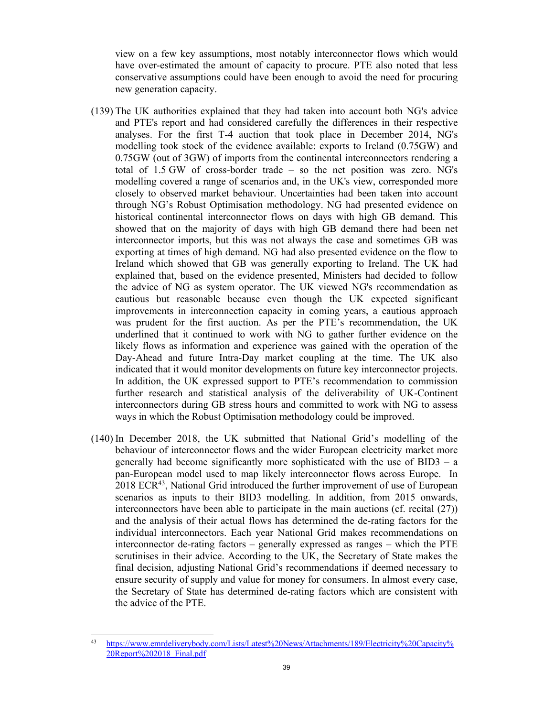view on a few key assumptions, most notably interconnector flows which would have over-estimated the amount of capacity to procure. PTE also noted that less conservative assumptions could have been enough to avoid the need for procuring new generation capacity.

- (139) The UK authorities explained that they had taken into account both NG's advice and PTE's report and had considered carefully the differences in their respective analyses. For the first T-4 auction that took place in December 2014, NG's modelling took stock of the evidence available: exports to Ireland (0.75GW) and 0.75GW (out of 3GW) of imports from the continental interconnectors rendering a total of 1.5 GW of cross-border trade – so the net position was zero. NG's modelling covered a range of scenarios and, in the UK's view, corresponded more closely to observed market behaviour. Uncertainties had been taken into account through NG's Robust Optimisation methodology. NG had presented evidence on historical continental interconnector flows on days with high GB demand. This showed that on the majority of days with high GB demand there had been net interconnector imports, but this was not always the case and sometimes GB was exporting at times of high demand. NG had also presented evidence on the flow to Ireland which showed that GB was generally exporting to Ireland. The UK had explained that, based on the evidence presented, Ministers had decided to follow the advice of NG as system operator. The UK viewed NG's recommendation as cautious but reasonable because even though the UK expected significant improvements in interconnection capacity in coming years, a cautious approach was prudent for the first auction. As per the PTE's recommendation, the UK underlined that it continued to work with NG to gather further evidence on the likely flows as information and experience was gained with the operation of the Day-Ahead and future Intra-Day market coupling at the time. The UK also indicated that it would monitor developments on future key interconnector projects. In addition, the UK expressed support to PTE's recommendation to commission further research and statistical analysis of the deliverability of UK-Continent interconnectors during GB stress hours and committed to work with NG to assess ways in which the Robust Optimisation methodology could be improved.
- (140) In December 2018, the UK submitted that National Grid's modelling of the behaviour of interconnector flows and the wider European electricity market more generally had become significantly more sophisticated with the use of BID3 – a pan-European model used to map likely interconnector flows across Europe. In 2018 ECR43, National Grid introduced the further improvement of use of European scenarios as inputs to their BID3 modelling. In addition, from 2015 onwards, interconnectors have been able to participate in the main auctions (cf. recital (27)) and the analysis of their actual flows has determined the de-rating factors for the individual interconnectors. Each year National Grid makes recommendations on interconnector de-rating factors – generally expressed as ranges – which the PTE scrutinises in their advice. According to the UK, the Secretary of State makes the final decision, adjusting National Grid's recommendations if deemed necessary to ensure security of supply and value for money for consumers. In almost every case, the Secretary of State has determined de-rating factors which are consistent with the advice of the PTE.

 $\overline{a}$ 43 https://www.emrdeliverybody.com/Lists/Latest%20News/Attachments/189/Electricity%20Capacity% 20Report%202018\_Final.pdf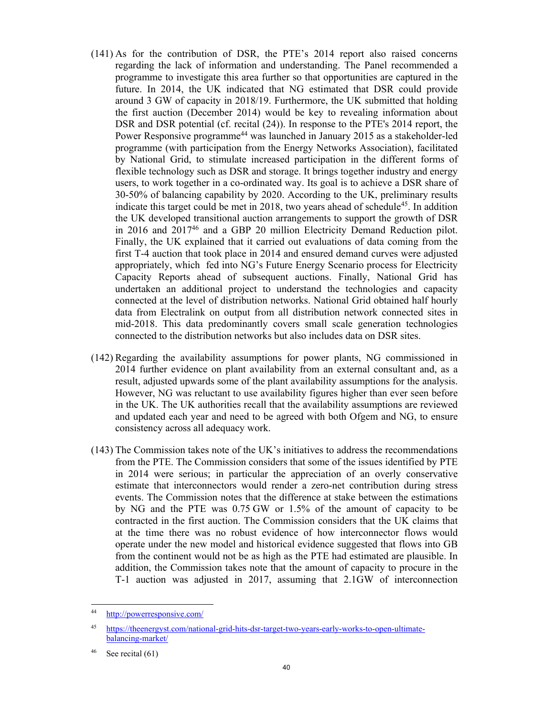- (141) As for the contribution of DSR, the PTE's 2014 report also raised concerns regarding the lack of information and understanding. The Panel recommended a programme to investigate this area further so that opportunities are captured in the future. In 2014, the UK indicated that NG estimated that DSR could provide around 3 GW of capacity in 2018/19. Furthermore, the UK submitted that holding the first auction (December 2014) would be key to revealing information about DSR and DSR potential (cf. recital (24)). In response to the PTE's 2014 report, the Power Responsive programme<sup>44</sup> was launched in January 2015 as a stakeholder-led programme (with participation from the Energy Networks Association), facilitated by National Grid, to stimulate increased participation in the different forms of flexible technology such as DSR and storage. It brings together industry and energy users, to work together in a co-ordinated way. Its goal is to achieve a DSR share of 30-50% of balancing capability by 2020. According to the UK, preliminary results indicate this target could be met in 2018, two years ahead of schedule<sup>45</sup>. In addition the UK developed transitional auction arrangements to support the growth of DSR in 2016 and 201746 and a GBP 20 million Electricity Demand Reduction pilot. Finally, the UK explained that it carried out evaluations of data coming from the first T-4 auction that took place in 2014 and ensured demand curves were adjusted appropriately, which fed into NG's Future Energy Scenario process for Electricity Capacity Reports ahead of subsequent auctions. Finally, National Grid has undertaken an additional project to understand the technologies and capacity connected at the level of distribution networks. National Grid obtained half hourly data from Electralink on output from all distribution network connected sites in mid-2018. This data predominantly covers small scale generation technologies connected to the distribution networks but also includes data on DSR sites.
- (142) Regarding the availability assumptions for power plants, NG commissioned in 2014 further evidence on plant availability from an external consultant and, as a result, adjusted upwards some of the plant availability assumptions for the analysis. However, NG was reluctant to use availability figures higher than ever seen before in the UK. The UK authorities recall that the availability assumptions are reviewed and updated each year and need to be agreed with both Ofgem and NG, to ensure consistency across all adequacy work.
- (143) The Commission takes note of the UK's initiatives to address the recommendations from the PTE. The Commission considers that some of the issues identified by PTE in 2014 were serious; in particular the appreciation of an overly conservative estimate that interconnectors would render a zero-net contribution during stress events. The Commission notes that the difference at stake between the estimations by NG and the PTE was 0.75 GW or 1.5% of the amount of capacity to be contracted in the first auction. The Commission considers that the UK claims that at the time there was no robust evidence of how interconnector flows would operate under the new model and historical evidence suggested that flows into GB from the continent would not be as high as the PTE had estimated are plausible. In addition, the Commission takes note that the amount of capacity to procure in the T-1 auction was adjusted in 2017, assuming that 2.1GW of interconnection

 $\overline{a}$ 

<sup>44</sup> http://powerresponsive.com/

<sup>45</sup> https://theenergyst.com/national-grid-hits-dsr-target-two-years-early-works-to-open-ultimatebalancing-market/

 $46$  See recital (61)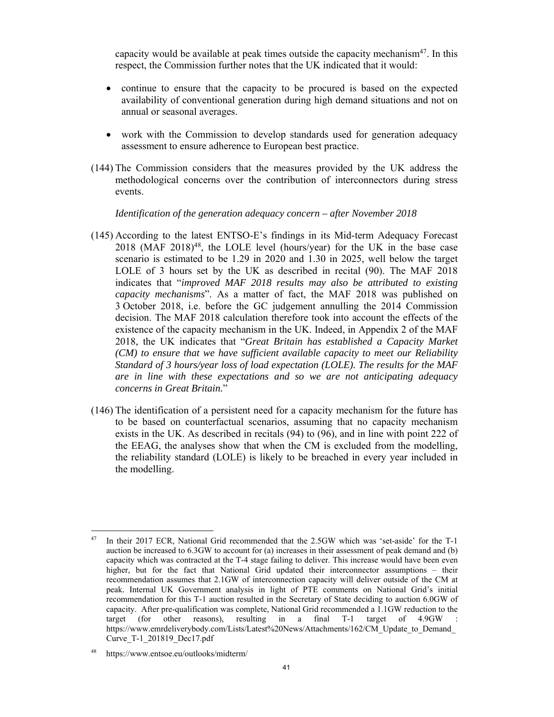capacity would be available at peak times outside the capacity mechanism<sup>47</sup>. In this respect, the Commission further notes that the UK indicated that it would:

- continue to ensure that the capacity to be procured is based on the expected availability of conventional generation during high demand situations and not on annual or seasonal averages.
- work with the Commission to develop standards used for generation adequacy assessment to ensure adherence to European best practice.
- (144) The Commission considers that the measures provided by the UK address the methodological concerns over the contribution of interconnectors during stress events.

*Identification of the generation adequacy concern – after November 2018* 

- (145) According to the latest ENTSO-E's findings in its Mid-term Adequacy Forecast  $2018$  (MAF  $2018$ )<sup>48</sup>, the LOLE level (hours/year) for the UK in the base case scenario is estimated to be 1.29 in 2020 and 1.30 in 2025, well below the target LOLE of 3 hours set by the UK as described in recital (90). The MAF 2018 indicates that "*improved MAF 2018 results may also be attributed to existing capacity mechanisms*". As a matter of fact, the MAF 2018 was published on 3 October 2018, i.e. before the GC judgement annulling the 2014 Commission decision. The MAF 2018 calculation therefore took into account the effects of the existence of the capacity mechanism in the UK. Indeed, in Appendix 2 of the MAF 2018, the UK indicates that "*Great Britain has established a Capacity Market (CM) to ensure that we have sufficient available capacity to meet our Reliability Standard of 3 hours/year loss of load expectation (LOLE). The results for the MAF are in line with these expectations and so we are not anticipating adequacy concerns in Great Britain.*"
- (146) The identification of a persistent need for a capacity mechanism for the future has to be based on counterfactual scenarios, assuming that no capacity mechanism exists in the UK. As described in recitals (94) to (96), and in line with point 222 of the EEAG, the analyses show that when the CM is excluded from the modelling, the reliability standard (LOLE) is likely to be breached in every year included in the modelling.

<sup>47</sup> In their 2017 ECR, National Grid recommended that the 2.5GW which was 'set-aside' for the T-1 auction be increased to 6.3GW to account for (a) increases in their assessment of peak demand and (b) capacity which was contracted at the T-4 stage failing to deliver. This increase would have been even higher, but for the fact that National Grid updated their interconnector assumptions – their recommendation assumes that 2.1GW of interconnection capacity will deliver outside of the CM at peak. Internal UK Government analysis in light of PTE comments on National Grid's initial recommendation for this T-1 auction resulted in the Secretary of State deciding to auction 6.0GW of capacity. After pre-qualification was complete, National Grid recommended a 1.1GW reduction to the target (for other reasons), resulting in a final  $T-1$  target of  $4.9$ GW https://www.emrdeliverybody.com/Lists/Latest%20News/Attachments/162/CM\_Update\_to\_Demand Curve\_T-1\_201819\_Dec17.pdf

<sup>48</sup> https://www.entsoe.eu/outlooks/midterm/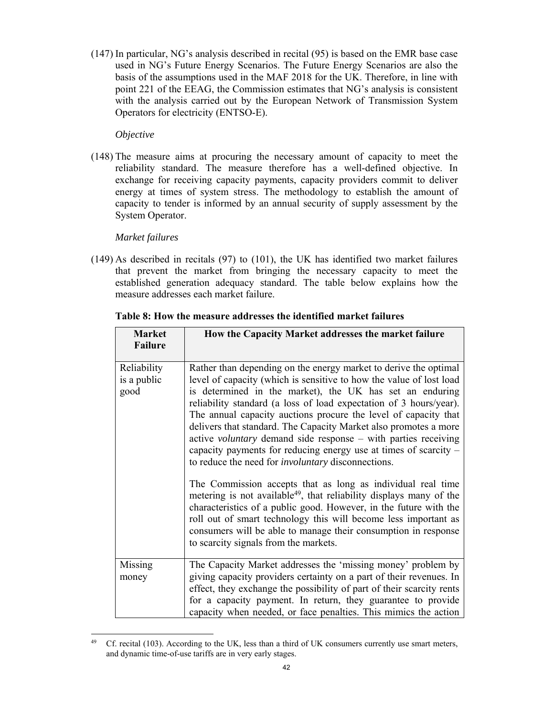(147) In particular, NG's analysis described in recital (95) is based on the EMR base case used in NG's Future Energy Scenarios. The Future Energy Scenarios are also the basis of the assumptions used in the MAF 2018 for the UK. Therefore, in line with point 221 of the EEAG, the Commission estimates that NG's analysis is consistent with the analysis carried out by the European Network of Transmission System Operators for electricity (ENTSO-E).

## *Objective*

(148) The measure aims at procuring the necessary amount of capacity to meet the reliability standard. The measure therefore has a well-defined objective. In exchange for receiving capacity payments, capacity providers commit to deliver energy at times of system stress. The methodology to establish the amount of capacity to tender is informed by an annual security of supply assessment by the System Operator.

# *Market failures*

(149) As described in recitals (97) to (101), the UK has identified two market failures that prevent the market from bringing the necessary capacity to meet the established generation adequacy standard. The table below explains how the measure addresses each market failure.

| <b>Market</b><br><b>Failure</b>    | How the Capacity Market addresses the market failure                                                                                                                                                                                                                                                                                                                                                                                                                                                                                                                                                                         |
|------------------------------------|------------------------------------------------------------------------------------------------------------------------------------------------------------------------------------------------------------------------------------------------------------------------------------------------------------------------------------------------------------------------------------------------------------------------------------------------------------------------------------------------------------------------------------------------------------------------------------------------------------------------------|
| Reliability<br>is a public<br>good | Rather than depending on the energy market to derive the optimal<br>level of capacity (which is sensitive to how the value of lost load<br>is determined in the market), the UK has set an enduring<br>reliability standard (a loss of load expectation of 3 hours/year).<br>The annual capacity auctions procure the level of capacity that<br>delivers that standard. The Capacity Market also promotes a more<br>active <i>voluntary</i> demand side response – with parties receiving<br>capacity payments for reducing energy use at times of scarcity $-$<br>to reduce the need for <i>involuntary</i> disconnections. |
|                                    | The Commission accepts that as long as individual real time<br>metering is not available <sup>49</sup> , that reliability displays many of the<br>characteristics of a public good. However, in the future with the<br>roll out of smart technology this will become less important as<br>consumers will be able to manage their consumption in response<br>to scarcity signals from the markets.                                                                                                                                                                                                                            |
| Missing                            | The Capacity Market addresses the 'missing money' problem by                                                                                                                                                                                                                                                                                                                                                                                                                                                                                                                                                                 |
| money                              | giving capacity providers certainty on a part of their revenues. In<br>effect, they exchange the possibility of part of their scarcity rents<br>for a capacity payment. In return, they guarantee to provide<br>capacity when needed, or face penalties. This mimics the action                                                                                                                                                                                                                                                                                                                                              |

# **Table 8: How the measure addresses the identified market failures**

 $\overline{a}$  $49$  Cf. recital (103). According to the UK, less than a third of UK consumers currently use smart meters, and dynamic time-of-use tariffs are in very early stages.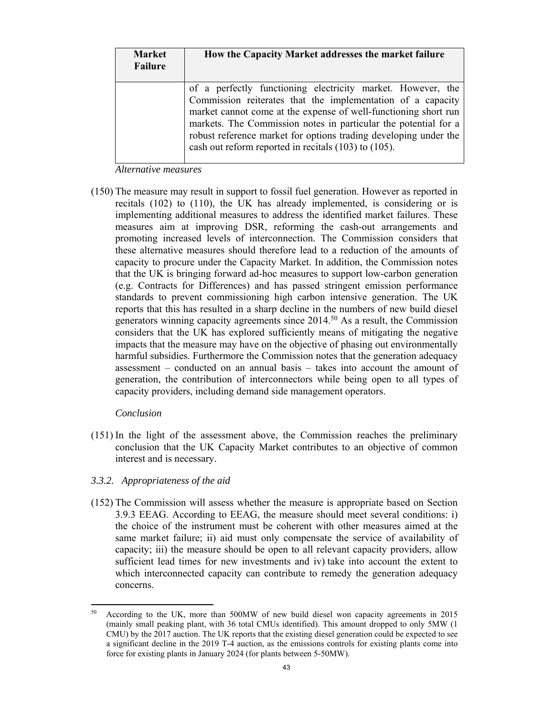| <b>Market</b><br>Failure | How the Capacity Market addresses the market failure                                                                                                                                                                                                                                                                                                                                         |
|--------------------------|----------------------------------------------------------------------------------------------------------------------------------------------------------------------------------------------------------------------------------------------------------------------------------------------------------------------------------------------------------------------------------------------|
|                          | of a perfectly functioning electricity market. However, the<br>Commission reiterates that the implementation of a capacity<br>market cannot come at the expense of well-functioning short run<br>markets. The Commission notes in particular the potential for a<br>robust reference market for options trading developing under the<br>cash out reform reported in recitals (103) to (105). |

*Alternative measures*

(150) The measure may result in support to fossil fuel generation. However as reported in recitals (102) to (110), the UK has already implemented, is considering or is implementing additional measures to address the identified market failures. These measures aim at improving DSR, reforming the cash-out arrangements and promoting increased levels of interconnection. The Commission considers that these alternative measures should therefore lead to a reduction of the amounts of capacity to procure under the Capacity Market. In addition, the Commission notes that the UK is bringing forward ad-hoc measures to support low-carbon generation (e.g. Contracts for Differences) and has passed stringent emission performance standards to prevent commissioning high carbon intensive generation. The UK reports that this has resulted in a sharp decline in the numbers of new build diesel generators winning capacity agreements since 2014.50 As a result, the Commission considers that the UK has explored sufficiently means of mitigating the negative impacts that the measure may have on the objective of phasing out environmentally harmful subsidies. Furthermore the Commission notes that the generation adequacy assessment – conducted on an annual basis – takes into account the amount of generation, the contribution of interconnectors while being open to all types of capacity providers, including demand side management operators.

### *Conclusion*

- (151) In the light of the assessment above, the Commission reaches the preliminary conclusion that the UK Capacity Market contributes to an objective of common interest and is necessary.
- *3.3.2. Appropriateness of the aid*
- (152) The Commission will assess whether the measure is appropriate based on Section 3.9.3 EEAG. According to EEAG, the measure should meet several conditions: i) the choice of the instrument must be coherent with other measures aimed at the same market failure; ii) aid must only compensate the service of availability of capacity; iii) the measure should be open to all relevant capacity providers, allow sufficient lead times for new investments and iv) take into account the extent to which interconnected capacity can contribute to remedy the generation adequacy concerns.

<sup>50</sup> According to the UK, more than 500MW of new build diesel won capacity agreements in 2015 (mainly small peaking plant, with 36 total CMUs identified). This amount dropped to only 5MW (1 CMU) by the 2017 auction. The UK reports that the existing diesel generation could be expected to see a significant decline in the 2019 T-4 auction, as the emissions controls for existing plants come into force for existing plants in January 2024 (for plants between 5-50MW).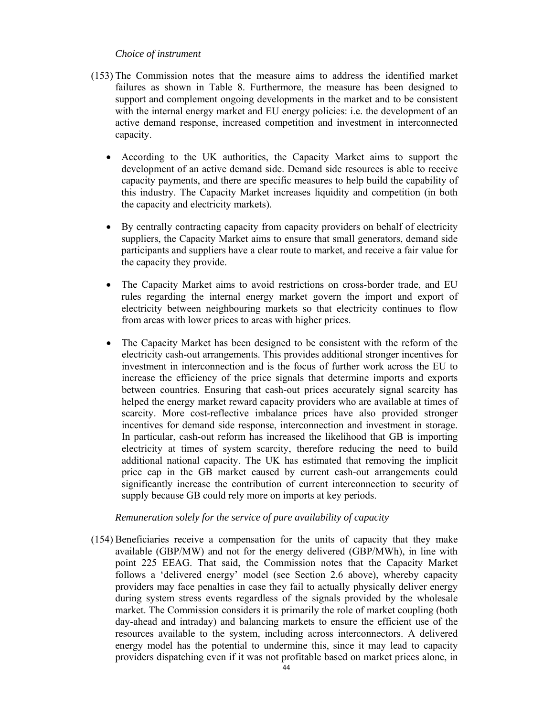### *Choice of instrument*

- (153) The Commission notes that the measure aims to address the identified market failures as shown in Table 8. Furthermore, the measure has been designed to support and complement ongoing developments in the market and to be consistent with the internal energy market and EU energy policies: i.e. the development of an active demand response, increased competition and investment in interconnected capacity.
	- According to the UK authorities, the Capacity Market aims to support the development of an active demand side. Demand side resources is able to receive capacity payments, and there are specific measures to help build the capability of this industry. The Capacity Market increases liquidity and competition (in both the capacity and electricity markets).
	- By centrally contracting capacity from capacity providers on behalf of electricity suppliers, the Capacity Market aims to ensure that small generators, demand side participants and suppliers have a clear route to market, and receive a fair value for the capacity they provide.
	- The Capacity Market aims to avoid restrictions on cross-border trade, and EU rules regarding the internal energy market govern the import and export of electricity between neighbouring markets so that electricity continues to flow from areas with lower prices to areas with higher prices.
	- The Capacity Market has been designed to be consistent with the reform of the electricity cash-out arrangements. This provides additional stronger incentives for investment in interconnection and is the focus of further work across the EU to increase the efficiency of the price signals that determine imports and exports between countries. Ensuring that cash-out prices accurately signal scarcity has helped the energy market reward capacity providers who are available at times of scarcity. More cost-reflective imbalance prices have also provided stronger incentives for demand side response, interconnection and investment in storage. In particular, cash-out reform has increased the likelihood that GB is importing electricity at times of system scarcity, therefore reducing the need to build additional national capacity. The UK has estimated that removing the implicit price cap in the GB market caused by current cash-out arrangements could significantly increase the contribution of current interconnection to security of supply because GB could rely more on imports at key periods.

### *Remuneration solely for the service of pure availability of capacity*

(154) Beneficiaries receive a compensation for the units of capacity that they make available (GBP/MW) and not for the energy delivered (GBP/MWh), in line with point 225 EEAG. That said, the Commission notes that the Capacity Market follows a 'delivered energy' model (see Section 2.6 above), whereby capacity providers may face penalties in case they fail to actually physically deliver energy during system stress events regardless of the signals provided by the wholesale market. The Commission considers it is primarily the role of market coupling (both day-ahead and intraday) and balancing markets to ensure the efficient use of the resources available to the system, including across interconnectors. A delivered energy model has the potential to undermine this, since it may lead to capacity providers dispatching even if it was not profitable based on market prices alone, in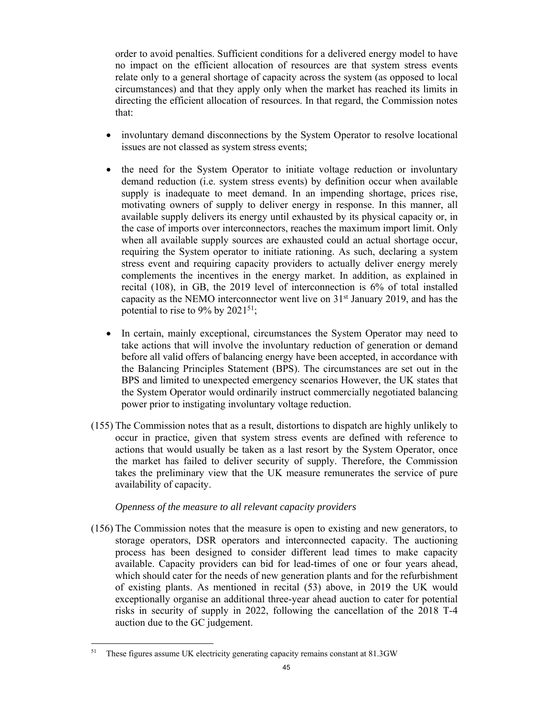order to avoid penalties. Sufficient conditions for a delivered energy model to have no impact on the efficient allocation of resources are that system stress events relate only to a general shortage of capacity across the system (as opposed to local circumstances) and that they apply only when the market has reached its limits in directing the efficient allocation of resources. In that regard, the Commission notes that:

- involuntary demand disconnections by the System Operator to resolve locational issues are not classed as system stress events;
- the need for the System Operator to initiate voltage reduction or involuntary demand reduction (i.e. system stress events) by definition occur when available supply is inadequate to meet demand. In an impending shortage, prices rise, motivating owners of supply to deliver energy in response. In this manner, all available supply delivers its energy until exhausted by its physical capacity or, in the case of imports over interconnectors, reaches the maximum import limit. Only when all available supply sources are exhausted could an actual shortage occur, requiring the System operator to initiate rationing. As such, declaring a system stress event and requiring capacity providers to actually deliver energy merely complements the incentives in the energy market. In addition, as explained in recital (108), in GB, the 2019 level of interconnection is 6% of total installed capacity as the NEMO interconnector went live on  $31<sup>st</sup>$  January 2019, and has the potential to rise to 9% by  $2021^{51}$ ;
- In certain, mainly exceptional, circumstances the System Operator may need to take actions that will involve the involuntary reduction of generation or demand before all valid offers of balancing energy have been accepted, in accordance with the Balancing Principles Statement (BPS). The circumstances are set out in the BPS and limited to unexpected emergency scenarios However, the UK states that the System Operator would ordinarily instruct commercially negotiated balancing power prior to instigating involuntary voltage reduction.
- (155) The Commission notes that as a result, distortions to dispatch are highly unlikely to occur in practice, given that system stress events are defined with reference to actions that would usually be taken as a last resort by the System Operator, once the market has failed to deliver security of supply. Therefore, the Commission takes the preliminary view that the UK measure remunerates the service of pure availability of capacity.

## *Openness of the measure to all relevant capacity providers*

(156) The Commission notes that the measure is open to existing and new generators, to storage operators, DSR operators and interconnected capacity. The auctioning process has been designed to consider different lead times to make capacity available. Capacity providers can bid for lead-times of one or four years ahead, which should cater for the needs of new generation plants and for the refurbishment of existing plants. As mentioned in recital (53) above, in 2019 the UK would exceptionally organise an additional three-year ahead auction to cater for potential risks in security of supply in 2022, following the cancellation of the 2018 T-4 auction due to the GC judgement.

<sup>51</sup> These figures assume UK electricity generating capacity remains constant at 81.3GW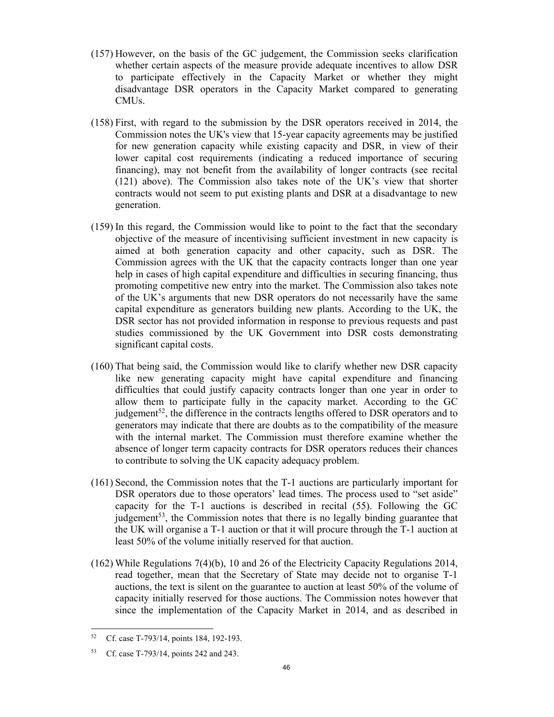- (157) However, on the basis of the GC judgement, the Commission seeks clarification whether certain aspects of the measure provide adequate incentives to allow DSR to participate effectively in the Capacity Market or whether they might disadvantage DSR operators in the Capacity Market compared to generating CMUs.
- (158) First, with regard to the submission by the DSR operators received in 2014, the Commission notes the UK's view that 15-year capacity agreements may be justified for new generation capacity while existing capacity and DSR, in view of their lower capital cost requirements (indicating a reduced importance of securing financing), may not benefit from the availability of longer contracts (see recital (121) above). The Commission also takes note of the UK's view that shorter contracts would not seem to put existing plants and DSR at a disadvantage to new generation.
- (159) In this regard, the Commission would like to point to the fact that the secondary objective of the measure of incentivising sufficient investment in new capacity is aimed at both generation capacity and other capacity, such as DSR. The Commission agrees with the UK that the capacity contracts longer than one year help in cases of high capital expenditure and difficulties in securing financing, thus promoting competitive new entry into the market. The Commission also takes note of the UK's arguments that new DSR operators do not necessarily have the same capital expenditure as generators building new plants. According to the UK, the DSR sector has not provided information in response to previous requests and past studies commissioned by the UK Government into DSR costs demonstrating significant capital costs.
- (160) That being said, the Commission would like to clarify whether new DSR capacity like new generating capacity might have capital expenditure and financing difficulties that could justify capacity contracts longer than one year in order to allow them to participate fully in the capacity market. According to the GC judgement<sup>52</sup>, the difference in the contracts lengths offered to DSR operators and to generators may indicate that there are doubts as to the compatibility of the measure with the internal market. The Commission must therefore examine whether the absence of longer term capacity contracts for DSR operators reduces their chances to contribute to solving the UK capacity adequacy problem.
- (161) Second, the Commission notes that the T-1 auctions are particularly important for DSR operators due to those operators' lead times. The process used to "set aside" capacity for the T-1 auctions is described in recital (55). Following the GC judgement<sup>53</sup>, the Commission notes that there is no legally binding guarantee that the UK will organise a T-1 auction or that it will procure through the T-1 auction at least 50% of the volume initially reserved for that auction.
- (162) While Regulations 7(4)(b), 10 and 26 of the Electricity Capacity Regulations 2014, read together, mean that the Secretary of State may decide not to organise T‑1 auctions, the text is silent on the guarantee to auction at least 50% of the volume of capacity initially reserved for those auctions. The Commission notes however that since the implementation of the Capacity Market in 2014, and as described in

<sup>52</sup> 52 Cf. case T-793/14, points 184, 192-193.

<sup>53</sup> Cf. case T-793/14, points 242 and 243.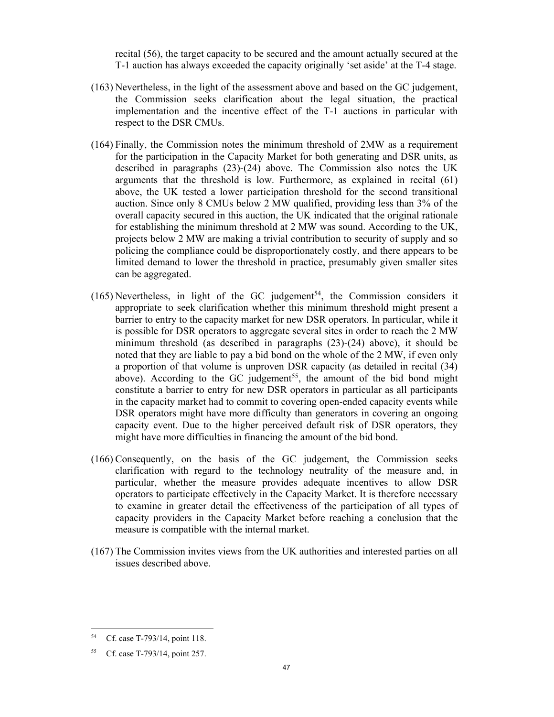recital (56), the target capacity to be secured and the amount actually secured at the T-1 auction has always exceeded the capacity originally 'set aside' at the T-4 stage.

- (163) Nevertheless, in the light of the assessment above and based on the GC judgement, the Commission seeks clarification about the legal situation, the practical implementation and the incentive effect of the T-1 auctions in particular with respect to the DSR CMUs.
- (164) Finally, the Commission notes the minimum threshold of 2MW as a requirement for the participation in the Capacity Market for both generating and DSR units, as described in paragraphs (23)-(24) above. The Commission also notes the UK arguments that the threshold is low. Furthermore, as explained in recital (61) above, the UK tested a lower participation threshold for the second transitional auction. Since only 8 CMUs below 2 MW qualified, providing less than 3% of the overall capacity secured in this auction, the UK indicated that the original rationale for establishing the minimum threshold at 2 MW was sound. According to the UK, projects below 2 MW are making a trivial contribution to security of supply and so policing the compliance could be disproportionately costly, and there appears to be limited demand to lower the threshold in practice, presumably given smaller sites can be aggregated.
- (165) Nevertheless, in light of the GC judgement<sup>54</sup>, the Commission considers it appropriate to seek clarification whether this minimum threshold might present a barrier to entry to the capacity market for new DSR operators. In particular, while it is possible for DSR operators to aggregate several sites in order to reach the 2 MW minimum threshold (as described in paragraphs (23)-(24) above), it should be noted that they are liable to pay a bid bond on the whole of the 2 MW, if even only a proportion of that volume is unproven DSR capacity (as detailed in recital (34) above). According to the GC judgement<sup>55</sup>, the amount of the bid bond might constitute a barrier to entry for new DSR operators in particular as all participants in the capacity market had to commit to covering open-ended capacity events while DSR operators might have more difficulty than generators in covering an ongoing capacity event. Due to the higher perceived default risk of DSR operators, they might have more difficulties in financing the amount of the bid bond.
- (166) Consequently, on the basis of the GC judgement, the Commission seeks clarification with regard to the technology neutrality of the measure and, in particular, whether the measure provides adequate incentives to allow DSR operators to participate effectively in the Capacity Market. It is therefore necessary to examine in greater detail the effectiveness of the participation of all types of capacity providers in the Capacity Market before reaching a conclusion that the measure is compatible with the internal market.
- (167) The Commission invites views from the UK authorities and interested parties on all issues described above.

<sup>54</sup> Cf. case T-793/14, point 118.

<sup>55</sup> Cf. case T-793/14, point 257.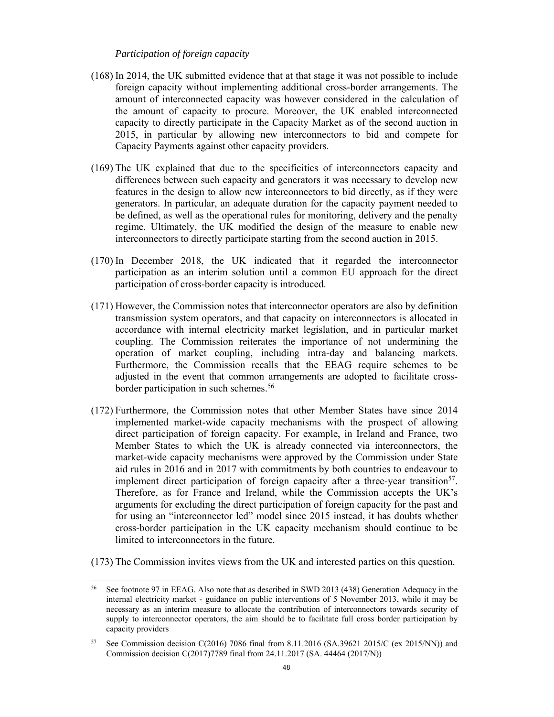#### *Participation of foreign capacity*

- (168) In 2014, the UK submitted evidence that at that stage it was not possible to include foreign capacity without implementing additional cross-border arrangements. The amount of interconnected capacity was however considered in the calculation of the amount of capacity to procure. Moreover, the UK enabled interconnected capacity to directly participate in the Capacity Market as of the second auction in 2015, in particular by allowing new interconnectors to bid and compete for Capacity Payments against other capacity providers.
- (169) The UK explained that due to the specificities of interconnectors capacity and differences between such capacity and generators it was necessary to develop new features in the design to allow new interconnectors to bid directly, as if they were generators. In particular, an adequate duration for the capacity payment needed to be defined, as well as the operational rules for monitoring, delivery and the penalty regime. Ultimately, the UK modified the design of the measure to enable new interconnectors to directly participate starting from the second auction in 2015.
- (170) In December 2018, the UK indicated that it regarded the interconnector participation as an interim solution until a common EU approach for the direct participation of cross-border capacity is introduced.
- (171) However, the Commission notes that interconnector operators are also by definition transmission system operators, and that capacity on interconnectors is allocated in accordance with internal electricity market legislation, and in particular market coupling. The Commission reiterates the importance of not undermining the operation of market coupling, including intra-day and balancing markets. Furthermore, the Commission recalls that the EEAG require schemes to be adjusted in the event that common arrangements are adopted to facilitate crossborder participation in such schemes.<sup>56</sup>
- (172) Furthermore, the Commission notes that other Member States have since 2014 implemented market-wide capacity mechanisms with the prospect of allowing direct participation of foreign capacity. For example, in Ireland and France, two Member States to which the UK is already connected via interconnectors, the market-wide capacity mechanisms were approved by the Commission under State aid rules in 2016 and in 2017 with commitments by both countries to endeavour to implement direct participation of foreign capacity after a three-year transition<sup>57</sup>. Therefore, as for France and Ireland, while the Commission accepts the UK's arguments for excluding the direct participation of foreign capacity for the past and for using an "interconnector led" model since 2015 instead, it has doubts whether cross-border participation in the UK capacity mechanism should continue to be limited to interconnectors in the future.
- (173) The Commission invites views from the UK and interested parties on this question.

<sup>56</sup> 56 See footnote 97 in EEAG. Also note that as described in SWD 2013 (438) Generation Adequacy in the internal electricity market - guidance on public interventions of 5 November 2013, while it may be necessary as an interim measure to allocate the contribution of interconnectors towards security of supply to interconnector operators, the aim should be to facilitate full cross border participation by capacity providers

<sup>57</sup> See Commission decision C(2016) 7086 final from 8.11.2016 (SA.39621 2015/C (ex 2015/NN)) and Commission decision C(2017)7789 final from 24.11.2017 (SA. 44464 (2017/N))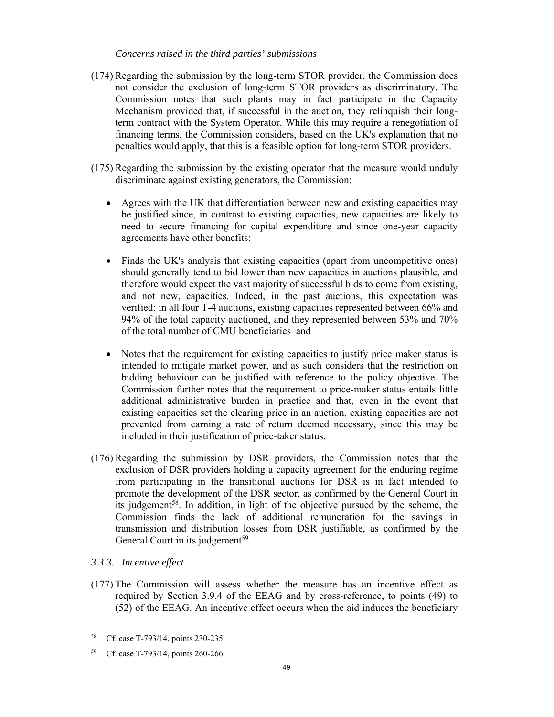### *Concerns raised in the third parties' submissions*

- (174) Regarding the submission by the long-term STOR provider, the Commission does not consider the exclusion of long-term STOR providers as discriminatory. The Commission notes that such plants may in fact participate in the Capacity Mechanism provided that, if successful in the auction, they relinquish their longterm contract with the System Operator. While this may require a renegotiation of financing terms, the Commission considers, based on the UK's explanation that no penalties would apply, that this is a feasible option for long-term STOR providers.
- (175) Regarding the submission by the existing operator that the measure would unduly discriminate against existing generators, the Commission:
	- Agrees with the UK that differentiation between new and existing capacities may be justified since, in contrast to existing capacities, new capacities are likely to need to secure financing for capital expenditure and since one-year capacity agreements have other benefits;
	- Finds the UK's analysis that existing capacities (apart from uncompetitive ones) should generally tend to bid lower than new capacities in auctions plausible, and therefore would expect the vast majority of successful bids to come from existing, and not new, capacities. Indeed, in the past auctions, this expectation was verified: in all four T-4 auctions, existing capacities represented between 66% and 94% of the total capacity auctioned, and they represented between 53% and 70% of the total number of CMU beneficiaries and
	- Notes that the requirement for existing capacities to justify price maker status is intended to mitigate market power, and as such considers that the restriction on bidding behaviour can be justified with reference to the policy objective. The Commission further notes that the requirement to price-maker status entails little additional administrative burden in practice and that, even in the event that existing capacities set the clearing price in an auction, existing capacities are not prevented from earning a rate of return deemed necessary, since this may be included in their justification of price-taker status.
- (176) Regarding the submission by DSR providers, the Commission notes that the exclusion of DSR providers holding a capacity agreement for the enduring regime from participating in the transitional auctions for DSR is in fact intended to promote the development of the DSR sector, as confirmed by the General Court in its judgement<sup>58</sup>. In addition, in light of the objective pursued by the scheme, the Commission finds the lack of additional remuneration for the savings in transmission and distribution losses from DSR justifiable, as confirmed by the General Court in its judgement<sup>59</sup>.

# *3.3.3. Incentive effect*

(177) The Commission will assess whether the measure has an incentive effect as required by Section 3.9.4 of the EEAG and by cross-reference, to points (49) to (52) of the EEAG. An incentive effect occurs when the aid induces the beneficiary

 $58$ Cf. case T-793/14, points 230-235

<sup>59</sup> Cf. case T-793/14, points 260-266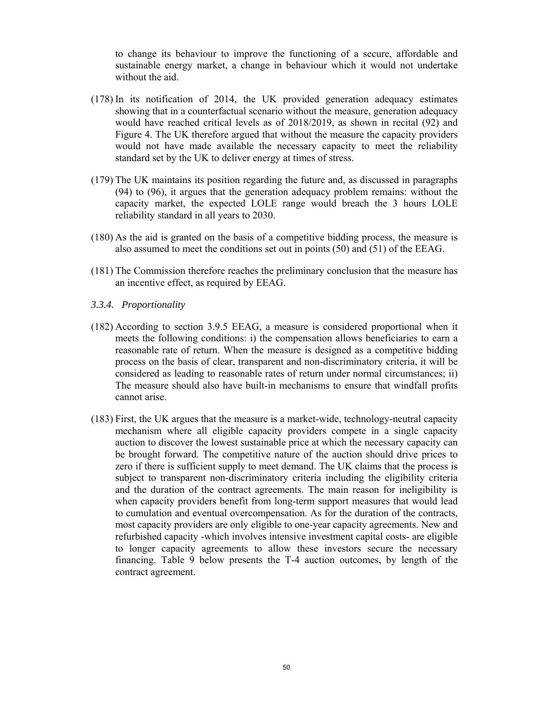to change its behaviour to improve the functioning of a secure, affordable and sustainable energy market, a change in behaviour which it would not undertake without the aid.

- (178) In its notification of 2014, the UK provided generation adequacy estimates showing that in a counterfactual scenario without the measure, generation adequacy would have reached critical levels as of 2018/2019, as shown in recital (92) and Figure 4. The UK therefore argued that without the measure the capacity providers would not have made available the necessary capacity to meet the reliability standard set by the UK to deliver energy at times of stress.
- (179) The UK maintains its position regarding the future and, as discussed in paragraphs (94) to (96), it argues that the generation adequacy problem remains: without the capacity market, the expected LOLE range would breach the 3 hours LOLE reliability standard in all years to 2030.
- (180) As the aid is granted on the basis of a competitive bidding process, the measure is also assumed to meet the conditions set out in points (50) and (51) of the EEAG.
- (181) The Commission therefore reaches the preliminary conclusion that the measure has an incentive effect, as required by EEAG.
- *3.3.4. Proportionality*
- (182) According to section 3.9.5 EEAG, a measure is considered proportional when it meets the following conditions: i) the compensation allows beneficiaries to earn a reasonable rate of return. When the measure is designed as a competitive bidding process on the basis of clear, transparent and non-discriminatory criteria, it will be considered as leading to reasonable rates of return under normal circumstances; ii) The measure should also have built-in mechanisms to ensure that windfall profits cannot arise.
- (183) First, the UK argues that the measure is a market-wide, technology-neutral capacity mechanism where all eligible capacity providers compete in a single capacity auction to discover the lowest sustainable price at which the necessary capacity can be brought forward. The competitive nature of the auction should drive prices to zero if there is sufficient supply to meet demand. The UK claims that the process is subject to transparent non-discriminatory criteria including the eligibility criteria and the duration of the contract agreements. The main reason for ineligibility is when capacity providers benefit from long-term support measures that would lead to cumulation and eventual overcompensation. As for the duration of the contracts, most capacity providers are only eligible to one-year capacity agreements. New and refurbished capacity -which involves intensive investment capital costs- are eligible to longer capacity agreements to allow these investors secure the necessary financing. Table 9 below presents the T-4 auction outcomes, by length of the contract agreement.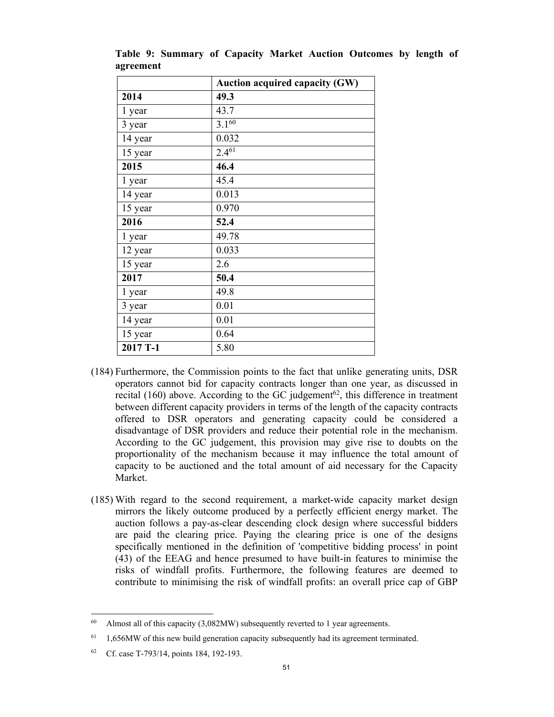|          | <b>Auction acquired capacity (GW)</b> |
|----------|---------------------------------------|
| 2014     | 49.3                                  |
| 1 year   | 43.7                                  |
| 3 year   | $3.1^{60}$                            |
| 14 year  | 0.032                                 |
| 15 year  | $2.4^{61}$                            |
| 2015     | 46.4                                  |
| 1 year   | 45.4                                  |
| 14 year  | 0.013                                 |
| 15 year  | 0.970                                 |
| 2016     | 52.4                                  |
| 1 year   | 49.78                                 |
| 12 year  | 0.033                                 |
| 15 year  | 2.6                                   |
| 2017     | 50.4                                  |
| 1 year   | 49.8                                  |
| 3 year   | 0.01                                  |
| 14 year  | 0.01                                  |
| 15 year  | 0.64                                  |
| 2017 T-1 | 5.80                                  |

**Table 9: Summary of Capacity Market Auction Outcomes by length of agreement** 

- (184) Furthermore, the Commission points to the fact that unlike generating units, DSR operators cannot bid for capacity contracts longer than one year, as discussed in recital (160) above. According to the GC judgement<sup>62</sup>, this difference in treatment between different capacity providers in terms of the length of the capacity contracts offered to DSR operators and generating capacity could be considered a disadvantage of DSR providers and reduce their potential role in the mechanism. According to the GC judgement, this provision may give rise to doubts on the proportionality of the mechanism because it may influence the total amount of capacity to be auctioned and the total amount of aid necessary for the Capacity Market.
- (185) With regard to the second requirement, a market-wide capacity market design mirrors the likely outcome produced by a perfectly efficient energy market. The auction follows a pay-as-clear descending clock design where successful bidders are paid the clearing price. Paying the clearing price is one of the designs specifically mentioned in the definition of 'competitive bidding process' in point (43) of the EEAG and hence presumed to have built-in features to minimise the risks of windfall profits. Furthermore, the following features are deemed to contribute to minimising the risk of windfall profits: an overall price cap of GBP

<sup>60</sup> Almost all of this capacity (3,082MW) subsequently reverted to 1 year agreements.

<sup>&</sup>lt;sup>61</sup> 1,656MW of this new build generation capacity subsequently had its agreement terminated.

<sup>62</sup> Cf. case T-793/14, points 184, 192-193.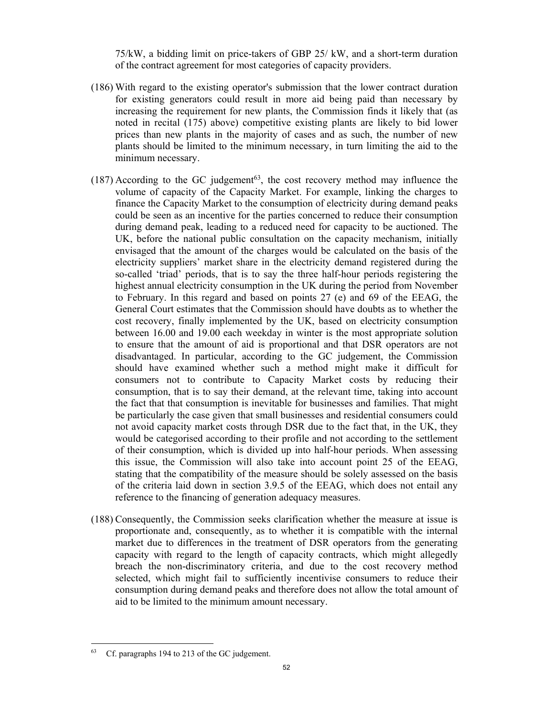75/kW, a bidding limit on price-takers of GBP 25/ kW, and a short-term duration of the contract agreement for most categories of capacity providers.

- (186) With regard to the existing operator's submission that the lower contract duration for existing generators could result in more aid being paid than necessary by increasing the requirement for new plants, the Commission finds it likely that (as noted in recital (175) above) competitive existing plants are likely to bid lower prices than new plants in the majority of cases and as such, the number of new plants should be limited to the minimum necessary, in turn limiting the aid to the minimum necessary.
- $(187)$  According to the GC judgement<sup>63</sup>, the cost recovery method may influence the volume of capacity of the Capacity Market. For example, linking the charges to finance the Capacity Market to the consumption of electricity during demand peaks could be seen as an incentive for the parties concerned to reduce their consumption during demand peak, leading to a reduced need for capacity to be auctioned. The UK, before the national public consultation on the capacity mechanism, initially envisaged that the amount of the charges would be calculated on the basis of the electricity suppliers' market share in the electricity demand registered during the so-called 'triad' periods, that is to say the three half-hour periods registering the highest annual electricity consumption in the UK during the period from November to February. In this regard and based on points 27 (e) and 69 of the EEAG, the General Court estimates that the Commission should have doubts as to whether the cost recovery, finally implemented by the UK, based on electricity consumption between 16.00 and 19.00 each weekday in winter is the most appropriate solution to ensure that the amount of aid is proportional and that DSR operators are not disadvantaged. In particular, according to the GC judgement, the Commission should have examined whether such a method might make it difficult for consumers not to contribute to Capacity Market costs by reducing their consumption, that is to say their demand, at the relevant time, taking into account the fact that that consumption is inevitable for businesses and families. That might be particularly the case given that small businesses and residential consumers could not avoid capacity market costs through DSR due to the fact that, in the UK, they would be categorised according to their profile and not according to the settlement of their consumption, which is divided up into half-hour periods. When assessing this issue, the Commission will also take into account point 25 of the EEAG, stating that the compatibility of the measure should be solely assessed on the basis of the criteria laid down in section 3.9.5 of the EEAG, which does not entail any reference to the financing of generation adequacy measures.
- (188) Consequently, the Commission seeks clarification whether the measure at issue is proportionate and, consequently, as to whether it is compatible with the internal market due to differences in the treatment of DSR operators from the generating capacity with regard to the length of capacity contracts, which might allegedly breach the non-discriminatory criteria, and due to the cost recovery method selected, which might fail to sufficiently incentivise consumers to reduce their consumption during demand peaks and therefore does not allow the total amount of aid to be limited to the minimum amount necessary.

 $\overline{a}$ 

<sup>63</sup> Cf. paragraphs 194 to 213 of the GC judgement.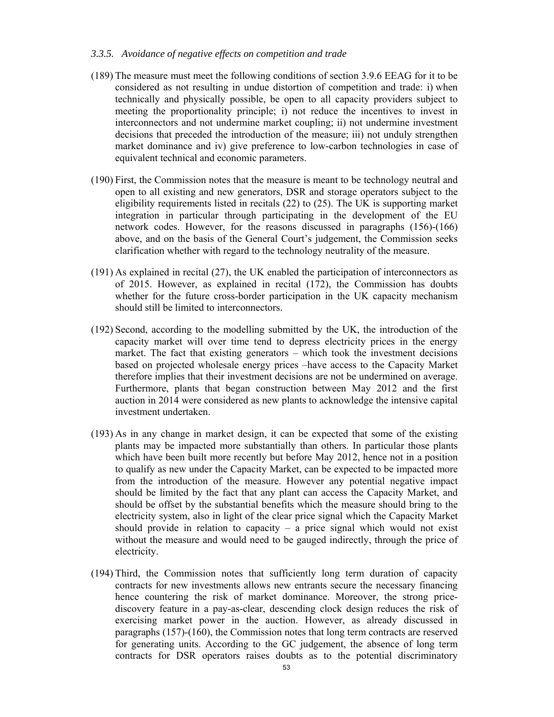#### *3.3.5. Avoidance of negative effects on competition and trade*

- (189) The measure must meet the following conditions of section 3.9.6 EEAG for it to be considered as not resulting in undue distortion of competition and trade: i) when technically and physically possible, be open to all capacity providers subject to meeting the proportionality principle; i) not reduce the incentives to invest in interconnectors and not undermine market coupling; ii) not undermine investment decisions that preceded the introduction of the measure; iii) not unduly strengthen market dominance and iv) give preference to low-carbon technologies in case of equivalent technical and economic parameters.
- (190) First, the Commission notes that the measure is meant to be technology neutral and open to all existing and new generators, DSR and storage operators subject to the eligibility requirements listed in recitals (22) to (25). The UK is supporting market integration in particular through participating in the development of the EU network codes. However, for the reasons discussed in paragraphs (156)-(166) above, and on the basis of the General Court's judgement, the Commission seeks clarification whether with regard to the technology neutrality of the measure.
- (191) As explained in recital (27), the UK enabled the participation of interconnectors as of 2015. However, as explained in recital (172), the Commission has doubts whether for the future cross-border participation in the UK capacity mechanism should still be limited to interconnectors.
- (192) Second, according to the modelling submitted by the UK, the introduction of the capacity market will over time tend to depress electricity prices in the energy market. The fact that existing generators – which took the investment decisions based on projected wholesale energy prices –have access to the Capacity Market therefore implies that their investment decisions are not be undermined on average. Furthermore, plants that began construction between May 2012 and the first auction in 2014 were considered as new plants to acknowledge the intensive capital investment undertaken.
- (193) As in any change in market design, it can be expected that some of the existing plants may be impacted more substantially than others. In particular those plants which have been built more recently but before May 2012, hence not in a position to qualify as new under the Capacity Market, can be expected to be impacted more from the introduction of the measure. However any potential negative impact should be limited by the fact that any plant can access the Capacity Market, and should be offset by the substantial benefits which the measure should bring to the electricity system, also in light of the clear price signal which the Capacity Market should provide in relation to capacity – a price signal which would not exist without the measure and would need to be gauged indirectly, through the price of electricity.
- (194) Third, the Commission notes that sufficiently long term duration of capacity contracts for new investments allows new entrants secure the necessary financing hence countering the risk of market dominance. Moreover, the strong pricediscovery feature in a pay-as-clear, descending clock design reduces the risk of exercising market power in the auction. However, as already discussed in paragraphs (157)-(160), the Commission notes that long term contracts are reserved for generating units. According to the GC judgement, the absence of long term contracts for DSR operators raises doubts as to the potential discriminatory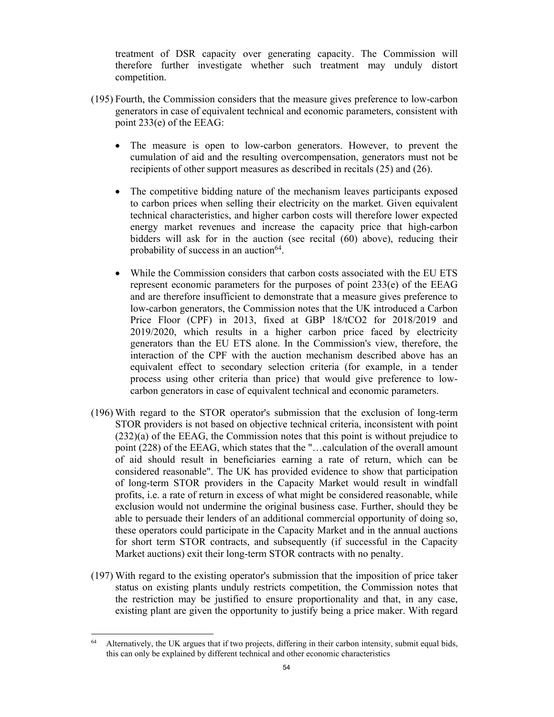treatment of DSR capacity over generating capacity. The Commission will therefore further investigate whether such treatment may unduly distort competition.

- (195) Fourth, the Commission considers that the measure gives preference to low-carbon generators in case of equivalent technical and economic parameters, consistent with point 233(e) of the EEAG:
	- The measure is open to low-carbon generators. However, to prevent the cumulation of aid and the resulting overcompensation, generators must not be recipients of other support measures as described in recitals (25) and (26).
	- The competitive bidding nature of the mechanism leaves participants exposed to carbon prices when selling their electricity on the market. Given equivalent technical characteristics, and higher carbon costs will therefore lower expected energy market revenues and increase the capacity price that high-carbon bidders will ask for in the auction (see recital (60) above), reducing their probability of success in an auction $64$ .
	- While the Commission considers that carbon costs associated with the EU ETS represent economic parameters for the purposes of point 233(e) of the EEAG and are therefore insufficient to demonstrate that a measure gives preference to low-carbon generators, the Commission notes that the UK introduced a Carbon Price Floor (CPF) in 2013, fixed at GBP 18/tCO2 for 2018/2019 and 2019/2020, which results in a higher carbon price faced by electricity generators than the EU ETS alone. In the Commission's view, therefore, the interaction of the CPF with the auction mechanism described above has an equivalent effect to secondary selection criteria (for example, in a tender process using other criteria than price) that would give preference to lowcarbon generators in case of equivalent technical and economic parameters.
- (196) With regard to the STOR operator's submission that the exclusion of long-term STOR providers is not based on objective technical criteria, inconsistent with point (232)(a) of the EEAG, the Commission notes that this point is without prejudice to point (228) of the EEAG, which states that the "…calculation of the overall amount of aid should result in beneficiaries earning a rate of return, which can be considered reasonable". The UK has provided evidence to show that participation of long-term STOR providers in the Capacity Market would result in windfall profits, i.e. a rate of return in excess of what might be considered reasonable, while exclusion would not undermine the original business case. Further, should they be able to persuade their lenders of an additional commercial opportunity of doing so, these operators could participate in the Capacity Market and in the annual auctions for short term STOR contracts, and subsequently (if successful in the Capacity Market auctions) exit their long-term STOR contracts with no penalty.
- (197) With regard to the existing operator's submission that the imposition of price taker status on existing plants unduly restricts competition, the Commission notes that the restriction may be justified to ensure proportionality and that, in any case, existing plant are given the opportunity to justify being a price maker. With regard

 $\overline{a}$ 

<sup>64</sup> Alternatively, the UK argues that if two projects, differing in their carbon intensity, submit equal bids, this can only be explained by different technical and other economic characteristics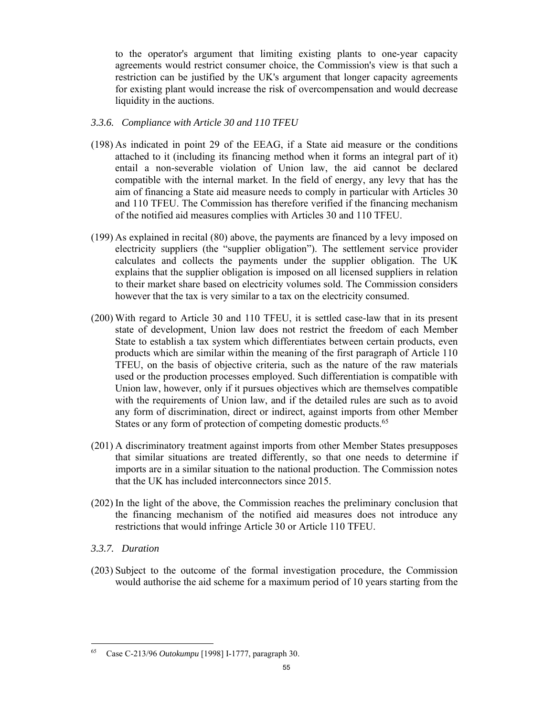to the operator's argument that limiting existing plants to one-year capacity agreements would restrict consumer choice, the Commission's view is that such a restriction can be justified by the UK's argument that longer capacity agreements for existing plant would increase the risk of overcompensation and would decrease liquidity in the auctions.

## *3.3.6. Compliance with Article 30 and 110 TFEU*

- (198) As indicated in point 29 of the EEAG, if a State aid measure or the conditions attached to it (including its financing method when it forms an integral part of it) entail a non-severable violation of Union law, the aid cannot be declared compatible with the internal market. In the field of energy, any levy that has the aim of financing a State aid measure needs to comply in particular with Articles 30 and 110 TFEU. The Commission has therefore verified if the financing mechanism of the notified aid measures complies with Articles 30 and 110 TFEU.
- (199) As explained in recital (80) above, the payments are financed by a levy imposed on electricity suppliers (the "supplier obligation"). The settlement service provider calculates and collects the payments under the supplier obligation. The UK explains that the supplier obligation is imposed on all licensed suppliers in relation to their market share based on electricity volumes sold. The Commission considers however that the tax is very similar to a tax on the electricity consumed.
- (200) With regard to Article 30 and 110 TFEU, it is settled case-law that in its present state of development, Union law does not restrict the freedom of each Member State to establish a tax system which differentiates between certain products, even products which are similar within the meaning of the first paragraph of Article 110 TFEU, on the basis of objective criteria, such as the nature of the raw materials used or the production processes employed. Such differentiation is compatible with Union law, however, only if it pursues objectives which are themselves compatible with the requirements of Union law, and if the detailed rules are such as to avoid any form of discrimination, direct or indirect, against imports from other Member States or any form of protection of competing domestic products.<sup>65</sup>
- (201) A discriminatory treatment against imports from other Member States presupposes that similar situations are treated differently, so that one needs to determine if imports are in a similar situation to the national production. The Commission notes that the UK has included interconnectors since 2015.
- (202) In the light of the above, the Commission reaches the preliminary conclusion that the financing mechanism of the notified aid measures does not introduce any restrictions that would infringe Article 30 or Article 110 TFEU.

# *3.3.7. Duration*

(203) Subject to the outcome of the formal investigation procedure, the Commission would authorise the aid scheme for a maximum period of 10 years starting from the

<sup>65</sup> 65 Case C-213/96 *Outokumpu* [1998] I-1777, paragraph 30.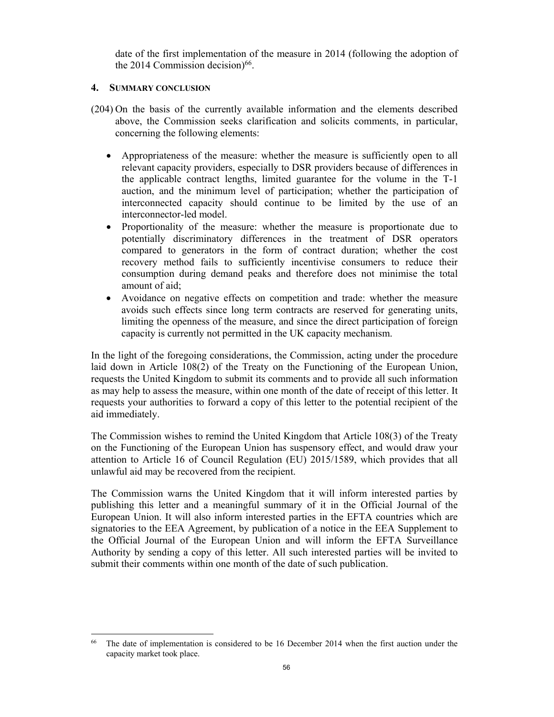date of the first implementation of the measure in 2014 (following the adoption of the 2014 Commission decision) $66$ .

### **4. SUMMARY CONCLUSION**

- (204) On the basis of the currently available information and the elements described above, the Commission seeks clarification and solicits comments, in particular, concerning the following elements:
	- Appropriateness of the measure: whether the measure is sufficiently open to all relevant capacity providers, especially to DSR providers because of differences in the applicable contract lengths, limited guarantee for the volume in the T-1 auction, and the minimum level of participation; whether the participation of interconnected capacity should continue to be limited by the use of an interconnector-led model.
	- Proportionality of the measure: whether the measure is proportionate due to potentially discriminatory differences in the treatment of DSR operators compared to generators in the form of contract duration; whether the cost recovery method fails to sufficiently incentivise consumers to reduce their consumption during demand peaks and therefore does not minimise the total amount of aid;
	- Avoidance on negative effects on competition and trade: whether the measure avoids such effects since long term contracts are reserved for generating units, limiting the openness of the measure, and since the direct participation of foreign capacity is currently not permitted in the UK capacity mechanism.

In the light of the foregoing considerations, the Commission, acting under the procedure laid down in Article 108(2) of the Treaty on the Functioning of the European Union, requests the United Kingdom to submit its comments and to provide all such information as may help to assess the measure, within one month of the date of receipt of this letter. It requests your authorities to forward a copy of this letter to the potential recipient of the aid immediately.

The Commission wishes to remind the United Kingdom that Article 108(3) of the Treaty on the Functioning of the European Union has suspensory effect, and would draw your attention to Article 16 of Council Regulation (EU) 2015/1589, which provides that all unlawful aid may be recovered from the recipient.

The Commission warns the United Kingdom that it will inform interested parties by publishing this letter and a meaningful summary of it in the Official Journal of the European Union. It will also inform interested parties in the EFTA countries which are signatories to the EEA Agreement, by publication of a notice in the EEA Supplement to the Official Journal of the European Union and will inform the EFTA Surveillance Authority by sending a copy of this letter. All such interested parties will be invited to submit their comments within one month of the date of such publication.

 $\overline{a}$ <sup>66</sup> The date of implementation is considered to be 16 December 2014 when the first auction under the capacity market took place.